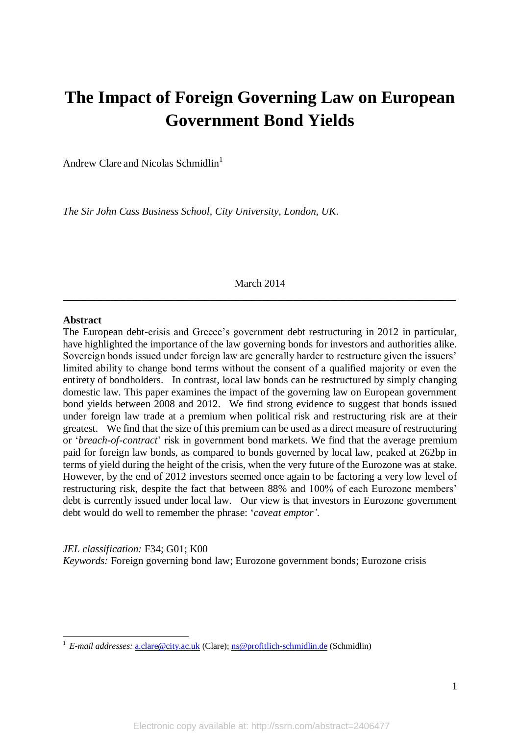# **The Impact of Foreign Governing Law on European Government Bond Yields**

Andrew Clare and Nicolas Schmidlin<sup>1</sup>

*The Sir John Cass Business School, City University, London, UK*.

March 2014 **\_\_\_\_\_\_\_\_\_\_\_\_\_\_\_\_\_\_\_\_\_\_\_\_\_\_\_\_\_\_\_\_\_\_\_\_\_\_\_\_\_\_\_\_\_\_\_\_\_\_\_\_\_\_\_\_\_\_\_\_\_\_\_\_\_\_\_\_\_\_\_\_\_\_\_**

#### **Abstract**

**.** 

The European debt-crisis and Greece's government debt restructuring in 2012 in particular, have highlighted the importance of the law governing bonds for investors and authorities alike. Sovereign bonds issued under foreign law are generally harder to restructure given the issuers' limited ability to change bond terms without the consent of a qualified majority or even the entirety of bondholders. In contrast, local law bonds can be restructured by simply changing domestic law. This paper examines the impact of the governing law on European government bond yields between 2008 and 2012. We find strong evidence to suggest that bonds issued under foreign law trade at a premium when political risk and restructuring risk are at their greatest. We find that the size of this premium can be used as a direct measure of restructuring or '*breach-of-contract*' risk in government bond markets. We find that the average premium paid for foreign law bonds, as compared to bonds governed by local law, peaked at 262bp in terms of yield during the height of the crisis, when the very future of the Eurozone was at stake. However, by the end of 2012 investors seemed once again to be factoring a very low level of restructuring risk, despite the fact that between 88% and 100% of each Eurozone members' debt is currently issued under local law. Our view is that investors in Eurozone government debt would do well to remember the phrase: '*caveat emptor'*.

*JEL classification:* F34; G01; K00 *Keywords:* Foreign governing bond law; Eurozone government bonds; Eurozone crisis

<sup>&</sup>lt;sup>1</sup> *E-mail addresses:* [a.clare@city.ac.uk](mailto:a.clare@city.ac.uk) (Clare); [ns@profitlich-schmidlin.de](mailto:ns@profitlich-schmidlin.de) (Schmidlin)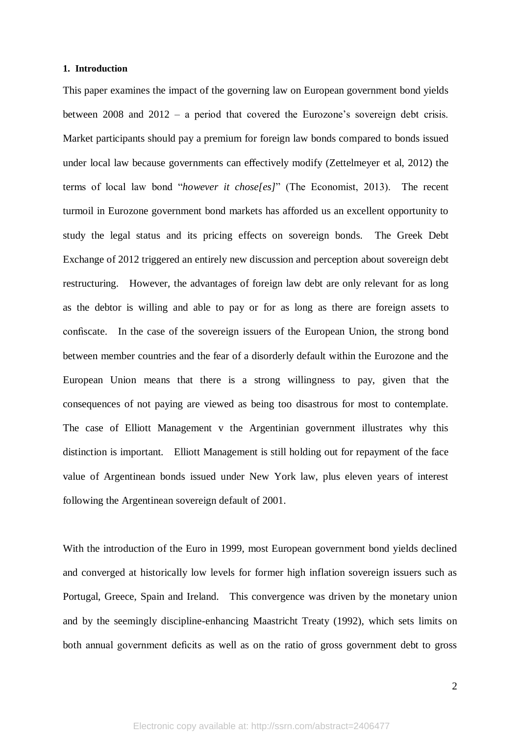#### **1. Introduction**

This paper examines the impact of the governing law on European government bond yields between 2008 and 2012 – a period that covered the Eurozone's sovereign debt crisis. Market participants should pay a premium for foreign law bonds compared to bonds issued under local law because governments can effectively modify (Zettelmeyer et al, 2012) the terms of local law bond "*however it chose[es]*" (The Economist, 2013). The recent turmoil in Eurozone government bond markets has afforded us an excellent opportunity to study the legal status and its pricing effects on sovereign bonds. The Greek Debt Exchange of 2012 triggered an entirely new discussion and perception about sovereign debt restructuring. However, the advantages of foreign law debt are only relevant for as long as the debtor is willing and able to pay or for as long as there are foreign assets to confiscate. In the case of the sovereign issuers of the European Union, the strong bond between member countries and the fear of a disorderly default within the Eurozone and the European Union means that there is a strong willingness to pay, given that the consequences of not paying are viewed as being too disastrous for most to contemplate. The case of Elliott Management v the Argentinian government illustrates why this distinction is important. Elliott Management is still holding out for repayment of the face value of Argentinean bonds issued under New York law, plus eleven years of interest following the Argentinean sovereign default of 2001.

With the introduction of the Euro in 1999, most European government bond yields declined and converged at historically low levels for former high inflation sovereign issuers such as Portugal, Greece, Spain and Ireland. This convergence was driven by the monetary union and by the seemingly discipline-enhancing Maastricht Treaty (1992), which sets limits on both annual government deficits as well as on the ratio of gross government debt to gross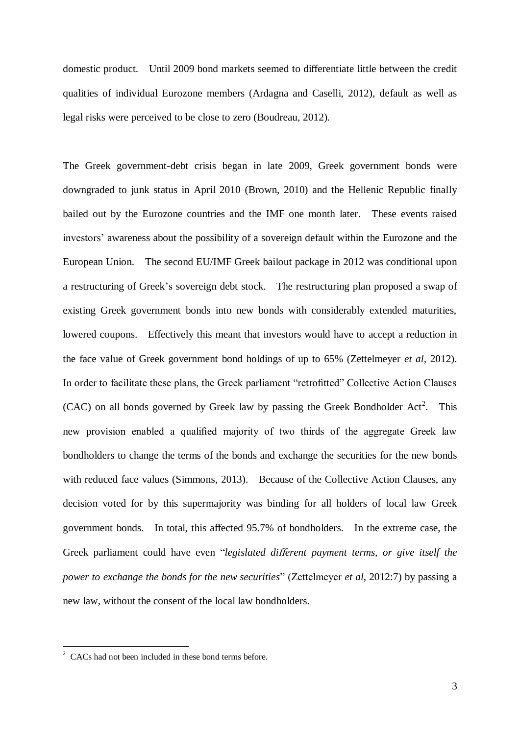domestic product. Until 2009 bond markets seemed to differentiate little between the credit qualities of individual Eurozone members (Ardagna and Caselli, 2012), default as well as legal risks were perceived to be close to zero (Boudreau, 2012).

The Greek government-debt crisis began in late 2009, Greek government bonds were downgraded to junk status in April 2010 (Brown, 2010) and the Hellenic Republic finally bailed out by the Eurozone countries and the IMF one month later. These events raised investors' awareness about the possibility of a sovereign default within the Eurozone and the European Union. The second EU/IMF Greek bailout package in 2012 was conditional upon a restructuring of Greek's sovereign debt stock. The restructuring plan proposed a swap of existing Greek government bonds into new bonds with considerably extended maturities, lowered coupons. Effectively this meant that investors would have to accept a reduction in the face value of Greek government bond holdings of up to 65% (Zettelmeyer *et al*, 2012). In order to facilitate these plans, the Greek parliament "retrofitted" Collective Action Clauses  $(CAC)$  on all bonds governed by Greek law by passing the Greek Bondholder Act<sup>2</sup>. This new provision enabled a qualified majority of two thirds of the aggregate Greek law bondholders to change the terms of the bonds and exchange the securities for the new bonds with reduced face values (Simmons, 2013). Because of the Collective Action Clauses, any decision voted for by this supermajority was binding for all holders of local law Greek government bonds. In total, this affected 95.7% of bondholders. In the extreme case, the Greek parliament could have even "*legislated different payment terms, or give itself the power to exchange the bonds for the new securities*" (Zettelmeyer *et al*, 2012:7) by passing a new law, without the consent of the local law bondholders.

-

<sup>&</sup>lt;sup>2</sup> CACs had not been included in these bond terms before.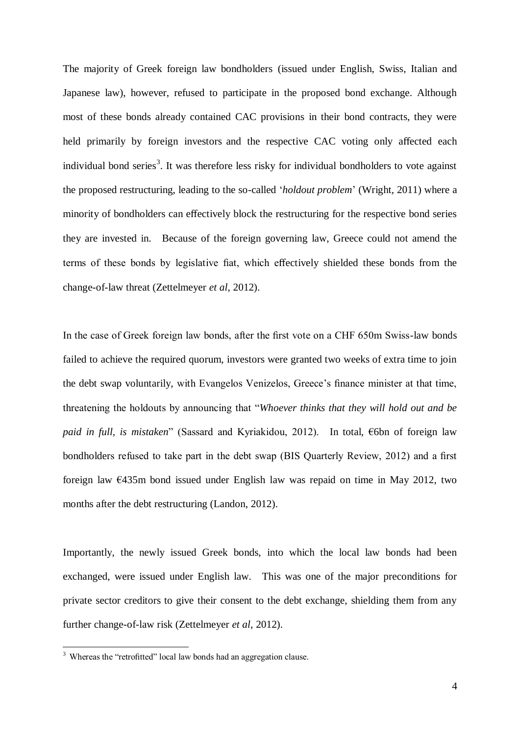The majority of Greek foreign law bondholders (issued under English, Swiss, Italian and Japanese law), however, refused to participate in the proposed bond exchange. Although most of these bonds already contained CAC provisions in their bond contracts, they were held primarily by foreign investors and the respective CAC voting only affected each individual bond series<sup>3</sup>. It was therefore less risky for individual bondholders to vote against the proposed restructuring, leading to the so-called '*holdout problem*' (Wright, 2011) where a minority of bondholders can effectively block the restructuring for the respective bond series they are invested in. Because of the foreign governing law, Greece could not amend the terms of these bonds by legislative fiat, which effectively shielded these bonds from the change-of-law threat (Zettelmeyer *et al*, 2012).

In the case of Greek foreign law bonds, after the first vote on a CHF 650m Swiss-law bonds failed to achieve the required quorum, investors were granted two weeks of extra time to join the debt swap voluntarily, with Evangelos Venizelos, Greece's finance minister at that time, threatening the holdouts by announcing that "*Whoever thinks that they will hold out and be paid in full, is mistaken*" (Sassard and Kyriakidou, 2012). In total, €6bn of foreign law bondholders refused to take part in the debt swap (BIS Quarterly Review, 2012) and a first foreign law €435m bond issued under English law was repaid on time in May 2012, two months after the debt restructuring (Landon, 2012).

Importantly, the newly issued Greek bonds, into which the local law bonds had been exchanged, were issued under English law. This was one of the major preconditions for private sector creditors to give their consent to the debt exchange, shielding them from any further change-of-law risk (Zettelmeyer *et al*, 2012).

1

 $3$  Whereas the "retrofitted" local law bonds had an aggregation clause.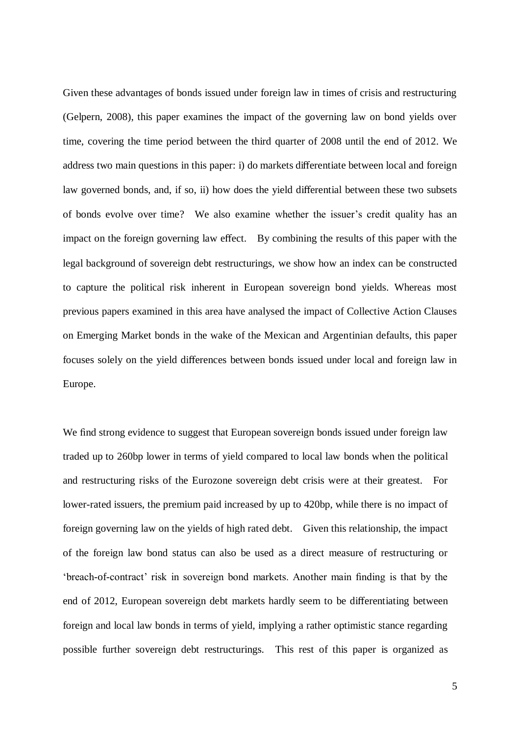Given these advantages of bonds issued under foreign law in times of crisis and restructuring (Gelpern, 2008), this paper examines the impact of the governing law on bond yields over time, covering the time period between the third quarter of 2008 until the end of 2012. We address two main questions in this paper: i) do markets differentiate between local and foreign law governed bonds, and, if so, ii) how does the yield differential between these two subsets of bonds evolve over time? We also examine whether the issuer's credit quality has an impact on the foreign governing law effect. By combining the results of this paper with the legal background of sovereign debt restructurings, we show how an index can be constructed to capture the political risk inherent in European sovereign bond yields. Whereas most previous papers examined in this area have analysed the impact of Collective Action Clauses on Emerging Market bonds in the wake of the Mexican and Argentinian defaults, this paper focuses solely on the yield differences between bonds issued under local and foreign law in Europe.

We find strong evidence to suggest that European sovereign bonds issued under foreign law traded up to 260bp lower in terms of yield compared to local law bonds when the political and restructuring risks of the Eurozone sovereign debt crisis were at their greatest. For lower-rated issuers, the premium paid increased by up to 420bp, while there is no impact of foreign governing law on the yields of high rated debt. Given this relationship, the impact of the foreign law bond status can also be used as a direct measure of restructuring or 'breach-of-contract' risk in sovereign bond markets. Another main finding is that by the end of 2012, European sovereign debt markets hardly seem to be differentiating between foreign and local law bonds in terms of yield, implying a rather optimistic stance regarding possible further sovereign debt restructurings. This rest of this paper is organized as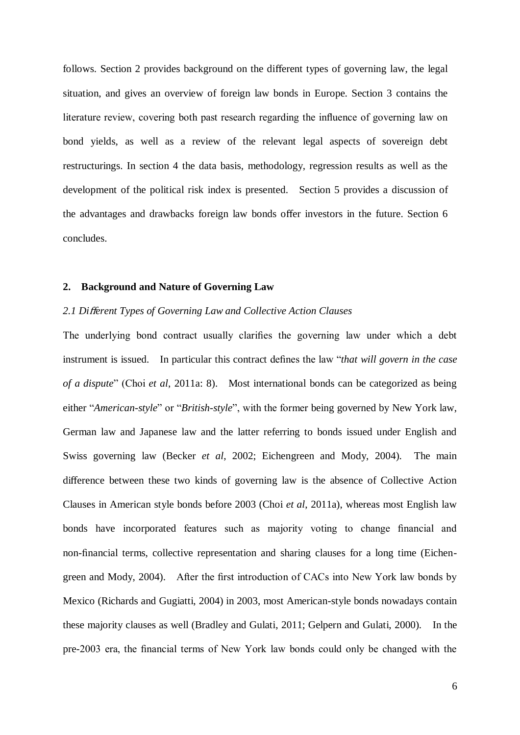follows. Section 2 provides background on the different types of governing law, the legal situation, and gives an overview of foreign law bonds in Europe. Section 3 contains the literature review, covering both past research regarding the influence of governing law on bond yields, as well as a review of the relevant legal aspects of sovereign debt restructurings. In section 4 the data basis, methodology, regression results as well as the development of the political risk index is presented. Section 5 provides a discussion of the advantages and drawbacks foreign law bonds offer investors in the future. Section 6 concludes.

#### **2. Background and Nature of Governing Law**

#### *2.1 Di*ff*erent Types of Governing Law and Collective Action Clauses*

The underlying bond contract usually clarifies the governing law under which a debt instrument is issued. In particular this contract defines the law "*that will govern in the case of a dispute*" (Choi *et al*, 2011a: 8). Most international bonds can be categorized as being either "*American-style*" or "*British-style*", with the former being governed by New York law, German law and Japanese law and the latter referring to bonds issued under English and Swiss governing law (Becker *et al*, 2002; Eichengreen and Mody, 2004). The main difference between these two kinds of governing law is the absence of Collective Action Clauses in American style bonds before 2003 (Choi *et al*, 2011a), whereas most English law bonds have incorporated features such as majority voting to change financial and non-financial terms, collective representation and sharing clauses for a long time (Eichengreen and Mody, 2004). After the first introduction of CACs into New York law bonds by Mexico (Richards and Gugiatti, 2004) in 2003, most American-style bonds nowadays contain these majority clauses as well (Bradley and Gulati, 2011; Gelpern and Gulati, 2000). In the pre-2003 era, the financial terms of New York law bonds could only be changed with the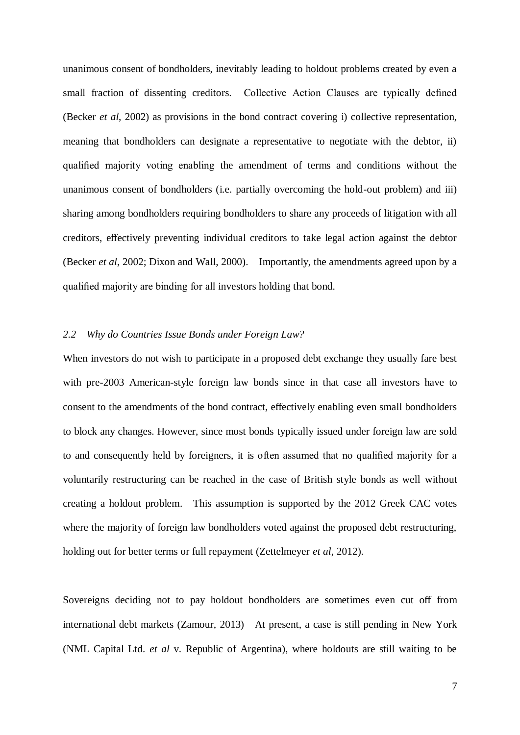unanimous consent of bondholders, inevitably leading to holdout problems created by even a small fraction of dissenting creditors. Collective Action Clauses are typically defined (Becker *et al*, 2002) as provisions in the bond contract covering i) collective representation, meaning that bondholders can designate a representative to negotiate with the debtor, ii) qualified majority voting enabling the amendment of terms and conditions without the unanimous consent of bondholders (i.e. partially overcoming the hold-out problem) and iii) sharing among bondholders requiring bondholders to share any proceeds of litigation with all creditors, effectively preventing individual creditors to take legal action against the debtor (Becker *et al*, 2002; Dixon and Wall, 2000). Importantly, the amendments agreed upon by a qualified majority are binding for all investors holding that bond.

#### *2.2 Why do Countries Issue Bonds under Foreign Law?*

When investors do not wish to participate in a proposed debt exchange they usually fare best with pre-2003 American-style foreign law bonds since in that case all investors have to consent to the amendments of the bond contract, effectively enabling even small bondholders to block any changes. However, since most bonds typically issued under foreign law are sold to and consequently held by foreigners, it is often assumed that no qualified majority for a voluntarily restructuring can be reached in the case of British style bonds as well without creating a holdout problem. This assumption is supported by the 2012 Greek CAC votes where the majority of foreign law bondholders voted against the proposed debt restructuring, holding out for better terms or full repayment (Zettelmeyer *et al*, 2012).

Sovereigns deciding not to pay holdout bondholders are sometimes even cut off from international debt markets (Zamour, 2013) At present, a case is still pending in New York (NML Capital Ltd. *et al* v. Republic of Argentina), where holdouts are still waiting to be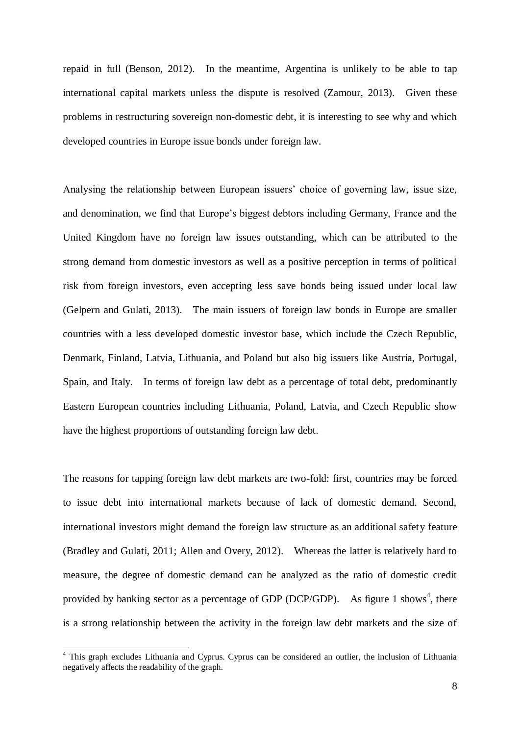repaid in full (Benson, 2012). In the meantime, Argentina is unlikely to be able to tap international capital markets unless the dispute is resolved (Zamour, 2013). Given these problems in restructuring sovereign non-domestic debt, it is interesting to see why and which developed countries in Europe issue bonds under foreign law.

Analysing the relationship between European issuers' choice of governing law, issue size, and denomination, we find that Europe's biggest debtors including Germany, France and the United Kingdom have no foreign law issues outstanding, which can be attributed to the strong demand from domestic investors as well as a positive perception in terms of political risk from foreign investors, even accepting less save bonds being issued under local law (Gelpern and Gulati, 2013). The main issuers of foreign law bonds in Europe are smaller countries with a less developed domestic investor base, which include the Czech Republic, Denmark, Finland, Latvia, Lithuania, and Poland but also big issuers like Austria, Portugal, Spain, and Italy. In terms of foreign law debt as a percentage of total debt, predominantly Eastern European countries including Lithuania, Poland, Latvia, and Czech Republic show have the highest proportions of outstanding foreign law debt.

The reasons for tapping foreign law debt markets are two-fold: first, countries may be forced to issue debt into international markets because of lack of domestic demand. Second, international investors might demand the foreign law structure as an additional safety feature (Bradley and Gulati, 2011; Allen and Overy, 2012). Whereas the latter is relatively hard to measure, the degree of domestic demand can be analyzed as the ratio of domestic credit provided by banking sector as a percentage of GDP (DCP/GDP). As figure 1 shows<sup>4</sup>, there is a strong relationship between the activity in the foreign law debt markets and the size of

1

<sup>&</sup>lt;sup>4</sup> This graph excludes Lithuania and Cyprus. Cyprus can be considered an outlier, the inclusion of Lithuania negatively affects the readability of the graph.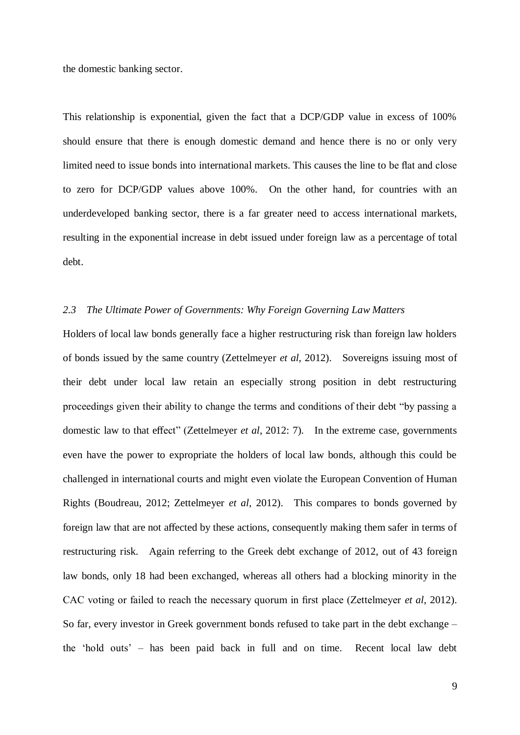the domestic banking sector.

This relationship is exponential, given the fact that a DCP/GDP value in excess of 100% should ensure that there is enough domestic demand and hence there is no or only very limited need to issue bonds into international markets. This causes the line to be flat and close to zero for DCP/GDP values above 100%. On the other hand, for countries with an underdeveloped banking sector, there is a far greater need to access international markets, resulting in the exponential increase in debt issued under foreign law as a percentage of total debt.

### *2.3 The Ultimate Power of Governments: Why Foreign Governing Law Matters*

Holders of local law bonds generally face a higher restructuring risk than foreign law holders of bonds issued by the same country (Zettelmeyer *et al*, 2012). Sovereigns issuing most of their debt under local law retain an especially strong position in debt restructuring proceedings given their ability to change the terms and conditions of their debt "by passing a domestic law to that effect" (Zettelmeyer *et al*, 2012: 7). In the extreme case, governments even have the power to expropriate the holders of local law bonds, although this could be challenged in international courts and might even violate the European Convention of Human Rights (Boudreau, 2012; Zettelmeyer *et al*, 2012). This compares to bonds governed by foreign law that are not affected by these actions, consequently making them safer in terms of restructuring risk. Again referring to the Greek debt exchange of 2012, out of 43 foreign law bonds, only 18 had been exchanged, whereas all others had a blocking minority in the CAC voting or failed to reach the necessary quorum in first place (Zettelmeyer *et al*, 2012). So far, every investor in Greek government bonds refused to take part in the debt exchange – the 'hold outs' – has been paid back in full and on time. Recent local law debt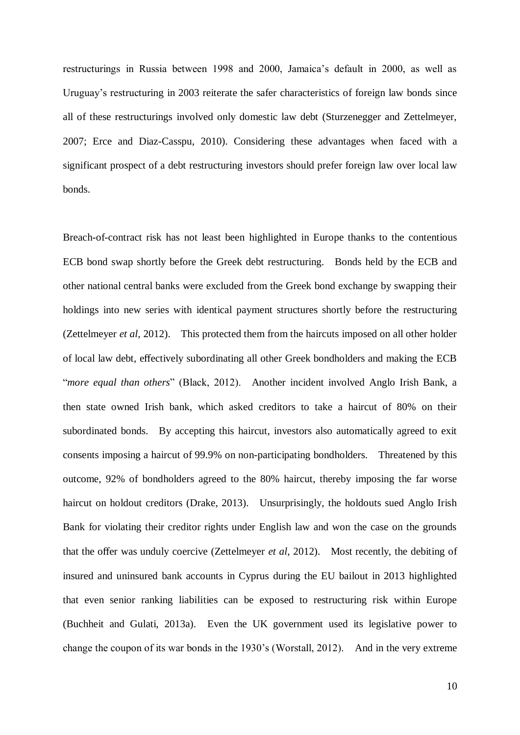restructurings in Russia between 1998 and 2000, Jamaica's default in 2000, as well as Uruguay's restructuring in 2003 reiterate the safer characteristics of foreign law bonds since all of these restructurings involved only domestic law debt (Sturzenegger and Zettelmeyer, 2007; Erce and Diaz-Casspu, 2010). Considering these advantages when faced with a significant prospect of a debt restructuring investors should prefer foreign law over local law bonds.

Breach-of-contract risk has not least been highlighted in Europe thanks to the contentious ECB bond swap shortly before the Greek debt restructuring. Bonds held by the ECB and other national central banks were excluded from the Greek bond exchange by swapping their holdings into new series with identical payment structures shortly before the restructuring (Zettelmeyer *et al*, 2012). This protected them from the haircuts imposed on all other holder of local law debt, effectively subordinating all other Greek bondholders and making the ECB "*more equal than others*" (Black, 2012). Another incident involved Anglo Irish Bank, a then state owned Irish bank, which asked creditors to take a haircut of 80% on their subordinated bonds. By accepting this haircut, investors also automatically agreed to exit consents imposing a haircut of 99.9% on non-participating bondholders. Threatened by this outcome, 92% of bondholders agreed to the 80% haircut, thereby imposing the far worse haircut on holdout creditors (Drake, 2013). Unsurprisingly, the holdouts sued Anglo Irish Bank for violating their creditor rights under English law and won the case on the grounds that the offer was unduly coercive (Zettelmeyer *et al*, 2012). Most recently, the debiting of insured and uninsured bank accounts in Cyprus during the EU bailout in 2013 highlighted that even senior ranking liabilities can be exposed to restructuring risk within Europe (Buchheit and Gulati, 2013a). Even the UK government used its legislative power to change the coupon of its war bonds in the 1930's (Worstall, 2012). And in the very extreme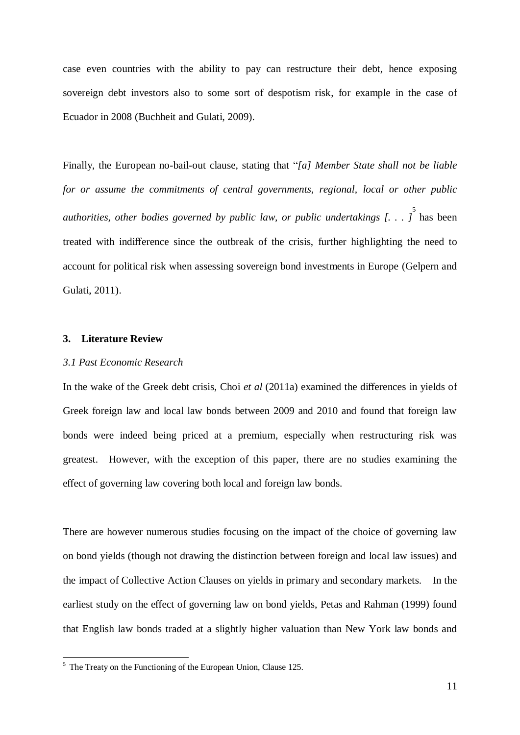case even countries with the ability to pay can restructure their debt, hence exposing sovereign debt investors also to some sort of despotism risk, for example in the case of Ecuador in 2008 (Buchheit and Gulati, 2009).

Finally, the European no-bail-out clause, stating that "*[a] Member State shall not be liable for or assume the commitments of central governments, regional, local or other public authorities, other bodies governed by public law, or public undertakings [. . . ]* 5 has been treated with indifference since the outbreak of the crisis, further highlighting the need to account for political risk when assessing sovereign bond investments in Europe (Gelpern and Gulati, 2011).

### **3. Literature Review**

**.** 

#### *3.1 Past Economic Research*

In the wake of the Greek debt crisis, Choi *et al* (2011a) examined the differences in yields of Greek foreign law and local law bonds between 2009 and 2010 and found that foreign law bonds were indeed being priced at a premium, especially when restructuring risk was greatest. However, with the exception of this paper, there are no studies examining the effect of governing law covering both local and foreign law bonds.

There are however numerous studies focusing on the impact of the choice of governing law on bond yields (though not drawing the distinction between foreign and local law issues) and the impact of Collective Action Clauses on yields in primary and secondary markets. In the earliest study on the effect of governing law on bond yields, Petas and Rahman (1999) found that English law bonds traded at a slightly higher valuation than New York law bonds and

 $<sup>5</sup>$  The Treaty on the Functioning of the European Union, Clause 125.</sup>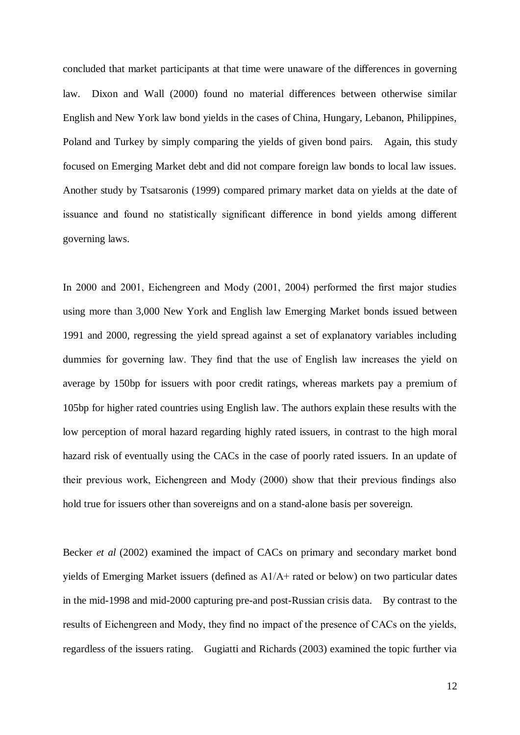concluded that market participants at that time were unaware of the differences in governing law. Dixon and Wall (2000) found no material differences between otherwise similar English and New York law bond yields in the cases of China, Hungary, Lebanon, Philippines, Poland and Turkey by simply comparing the yields of given bond pairs. Again, this study focused on Emerging Market debt and did not compare foreign law bonds to local law issues. Another study by Tsatsaronis (1999) compared primary market data on yields at the date of issuance and found no statistically significant difference in bond yields among different governing laws.

In 2000 and 2001, Eichengreen and Mody (2001, 2004) performed the first major studies using more than 3,000 New York and English law Emerging Market bonds issued between 1991 and 2000, regressing the yield spread against a set of explanatory variables including dummies for governing law. They find that the use of English law increases the yield on average by 150bp for issuers with poor credit ratings, whereas markets pay a premium of 105bp for higher rated countries using English law. The authors explain these results with the low perception of moral hazard regarding highly rated issuers, in contrast to the high moral hazard risk of eventually using the CACs in the case of poorly rated issuers. In an update of their previous work, Eichengreen and Mody (2000) show that their previous findings also hold true for issuers other than sovereigns and on a stand-alone basis per sovereign.

Becker *et al* (2002) examined the impact of CACs on primary and secondary market bond yields of Emerging Market issuers (defined as A1/A+ rated or below) on two particular dates in the mid-1998 and mid-2000 capturing pre-and post-Russian crisis data. By contrast to the results of Eichengreen and Mody, they find no impact of the presence of CACs on the yields, regardless of the issuers rating. Gugiatti and Richards (2003) examined the topic further via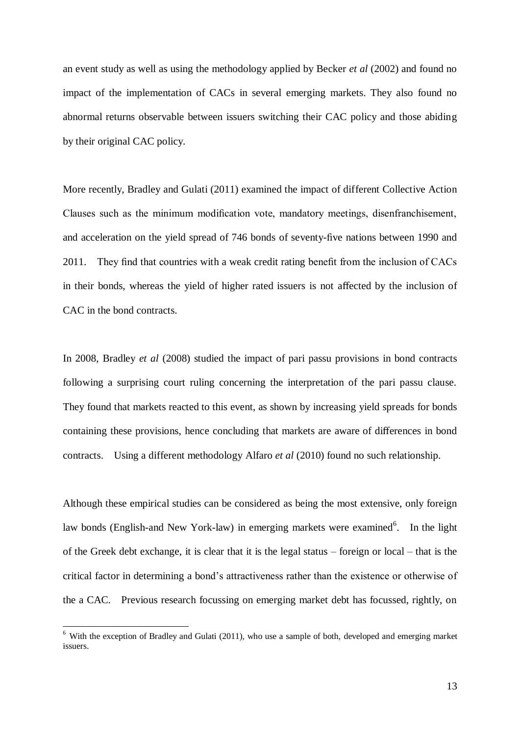an event study as well as using the methodology applied by Becker *et al* (2002) and found no impact of the implementation of CACs in several emerging markets. They also found no abnormal returns observable between issuers switching their CAC policy and those abiding by their original CAC policy.

More recently, Bradley and Gulati (2011) examined the impact of different Collective Action Clauses such as the minimum modification vote, mandatory meetings, disenfranchisement, and acceleration on the yield spread of 746 bonds of seventy-five nations between 1990 and 2011. They find that countries with a weak credit rating benefit from the inclusion of CACs in their bonds, whereas the yield of higher rated issuers is not affected by the inclusion of CAC in the bond contracts.

In 2008, Bradley *et al* (2008) studied the impact of pari passu provisions in bond contracts following a surprising court ruling concerning the interpretation of the pari passu clause. They found that markets reacted to this event, as shown by increasing yield spreads for bonds containing these provisions, hence concluding that markets are aware of differences in bond contracts. Using a different methodology Alfaro *et al* (2010) found no such relationship.

Although these empirical studies can be considered as being the most extensive, only foreign law bonds (English-and New York-law) in emerging markets were examined<sup>6</sup>. In the light of the Greek debt exchange, it is clear that it is the legal status – foreign or local – that is the critical factor in determining a bond's attractiveness rather than the existence or otherwise of the a CAC. Previous research focussing on emerging market debt has focussed, rightly, on

1

 $6$  With the exception of Bradley and Gulati (2011), who use a sample of both, developed and emerging market issuers.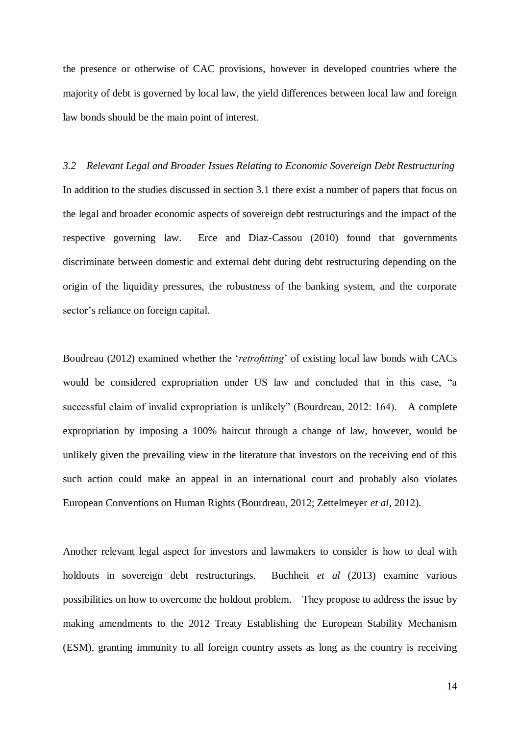the presence or otherwise of CAC provisions, however in developed countries where the majority of debt is governed by local law, the yield differences between local law and foreign law bonds should be the main point of interest.

*3.2 Relevant Legal and Broader Issues Relating to Economic Sovereign Debt Restructuring* In addition to the studies discussed in section 3.1 there exist a number of papers that focus on the legal and broader economic aspects of sovereign debt restructurings and the impact of the respective governing law. Erce and Diaz-Cassou (2010) found that governments discriminate between domestic and external debt during debt restructuring depending on the origin of the liquidity pressures, the robustness of the banking system, and the corporate sector's reliance on foreign capital.

Boudreau (2012) examined whether the '*retrofitting*' of existing local law bonds with CACs would be considered expropriation under US law and concluded that in this case, "a successful claim of invalid expropriation is unlikely" (Bourdreau, 2012: 164). A complete expropriation by imposing a 100% haircut through a change of law, however, would be unlikely given the prevailing view in the literature that investors on the receiving end of this such action could make an appeal in an international court and probably also violates European Conventions on Human Rights (Bourdreau, 2012; Zettelmeyer *et al*, 2012).

Another relevant legal aspect for investors and lawmakers to consider is how to deal with holdouts in sovereign debt restructurings. Buchheit *et al* (2013) examine various possibilities on how to overcome the holdout problem. They propose to address the issue by making amendments to the 2012 Treaty Establishing the European Stability Mechanism (ESM), granting immunity to all foreign country assets as long as the country is receiving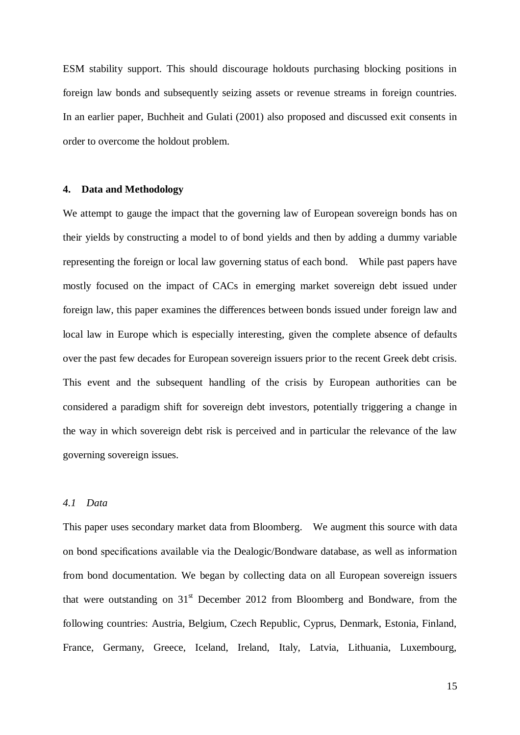ESM stability support. This should discourage holdouts purchasing blocking positions in foreign law bonds and subsequently seizing assets or revenue streams in foreign countries. In an earlier paper, Buchheit and Gulati (2001) also proposed and discussed exit consents in order to overcome the holdout problem.

#### **4. Data and Methodology**

We attempt to gauge the impact that the governing law of European sovereign bonds has on their yields by constructing a model to of bond yields and then by adding a dummy variable representing the foreign or local law governing status of each bond. While past papers have mostly focused on the impact of CACs in emerging market sovereign debt issued under foreign law, this paper examines the differences between bonds issued under foreign law and local law in Europe which is especially interesting, given the complete absence of defaults over the past few decades for European sovereign issuers prior to the recent Greek debt crisis. This event and the subsequent handling of the crisis by European authorities can be considered a paradigm shift for sovereign debt investors, potentially triggering a change in the way in which sovereign debt risk is perceived and in particular the relevance of the law governing sovereign issues.

#### *4.1 Data*

This paper uses secondary market data from Bloomberg. We augment this source with data on bond specifications available via the Dealogic/Bondware database, as well as information from bond documentation. We began by collecting data on all European sovereign issuers that were outstanding on  $31<sup>st</sup>$  December 2012 from Bloomberg and Bondware, from the following countries: Austria, Belgium, Czech Republic, Cyprus, Denmark, Estonia, Finland, France, Germany, Greece, Iceland, Ireland, Italy, Latvia, Lithuania, Luxembourg,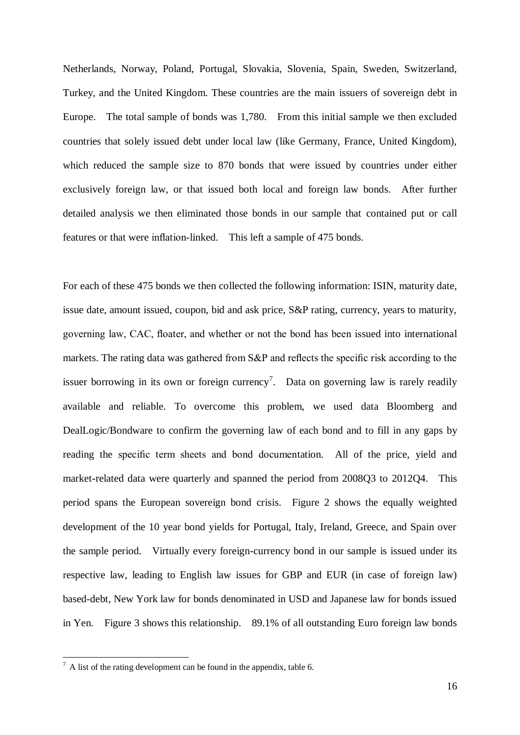Netherlands, Norway, Poland, Portugal, Slovakia, Slovenia, Spain, Sweden, Switzerland, Turkey, and the United Kingdom. These countries are the main issuers of sovereign debt in Europe. The total sample of bonds was 1,780. From this initial sample we then excluded countries that solely issued debt under local law (like Germany, France, United Kingdom), which reduced the sample size to 870 bonds that were issued by countries under either exclusively foreign law, or that issued both local and foreign law bonds. After further detailed analysis we then eliminated those bonds in our sample that contained put or call features or that were inflation-linked. This left a sample of 475 bonds.

For each of these 475 bonds we then collected the following information: ISIN, maturity date, issue date, amount issued, coupon, bid and ask price, S&P rating, currency, years to maturity, governing law, CAC, floater, and whether or not the bond has been issued into international markets. The rating data was gathered from S&P and reflects the specific risk according to the issuer borrowing in its own or foreign currency<sup>7</sup>. Data on governing law is rarely readily available and reliable. To overcome this problem, we used data Bloomberg and DealLogic/Bondware to confirm the governing law of each bond and to fill in any gaps by reading the specific term sheets and bond documentation. All of the price, yield and market-related data were quarterly and spanned the period from 2008Q3 to 2012Q4. This period spans the European sovereign bond crisis. Figure 2 shows the equally weighted development of the 10 year bond yields for Portugal, Italy, Ireland, Greece, and Spain over the sample period. Virtually every foreign-currency bond in our sample is issued under its respective law, leading to English law issues for GBP and EUR (in case of foreign law) based-debt, New York law for bonds denominated in USD and Japanese law for bonds issued in Yen. Figure 3 shows this relationship. 89.1% of all outstanding Euro foreign law bonds

**.** 

 $7 A$  list of the rating development can be found in the appendix, table 6.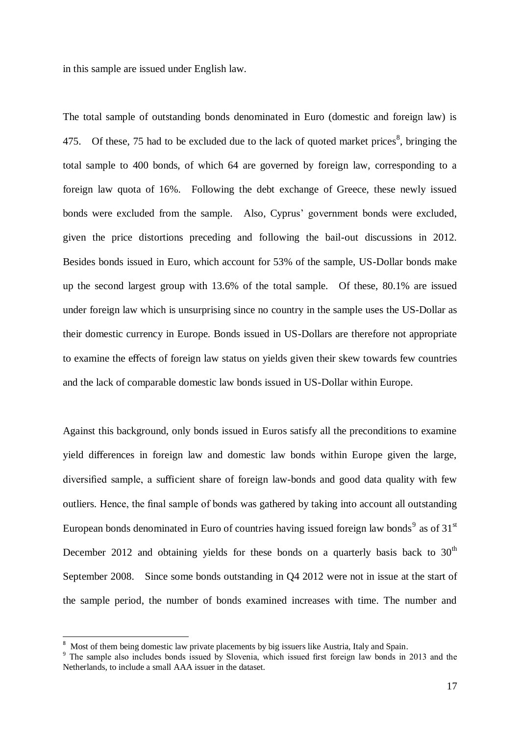in this sample are issued under English law.

The total sample of outstanding bonds denominated in Euro (domestic and foreign law) is 475. Of these, 75 had to be excluded due to the lack of quoted market prices<sup>8</sup>, bringing the total sample to 400 bonds, of which 64 are governed by foreign law, corresponding to a foreign law quota of 16%. Following the debt exchange of Greece, these newly issued bonds were excluded from the sample. Also, Cyprus' government bonds were excluded, given the price distortions preceding and following the bail-out discussions in 2012. Besides bonds issued in Euro, which account for 53% of the sample, US-Dollar bonds make up the second largest group with 13.6% of the total sample. Of these, 80.1% are issued under foreign law which is unsurprising since no country in the sample uses the US-Dollar as their domestic currency in Europe. Bonds issued in US-Dollars are therefore not appropriate to examine the effects of foreign law status on yields given their skew towards few countries and the lack of comparable domestic law bonds issued in US-Dollar within Europe.

Against this background, only bonds issued in Euros satisfy all the preconditions to examine yield differences in foreign law and domestic law bonds within Europe given the large, diversified sample, a sufficient share of foreign law-bonds and good data quality with few outliers. Hence, the final sample of bonds was gathered by taking into account all outstanding European bonds denominated in Euro of countries having issued foreign law bonds<sup>9</sup> as of 31<sup>st</sup> December 2012 and obtaining yields for these bonds on a quarterly basis back to  $30<sup>th</sup>$ September 2008. Since some bonds outstanding in Q4 2012 were not in issue at the start of the sample period, the number of bonds examined increases with time. The number and

1

<sup>8</sup> Most of them being domestic law private placements by big issuers like Austria, Italy and Spain.

<sup>&</sup>lt;sup>9</sup> The sample also includes bonds issued by Slovenia, which issued first foreign law bonds in 2013 and the Netherlands, to include a small AAA issuer in the dataset.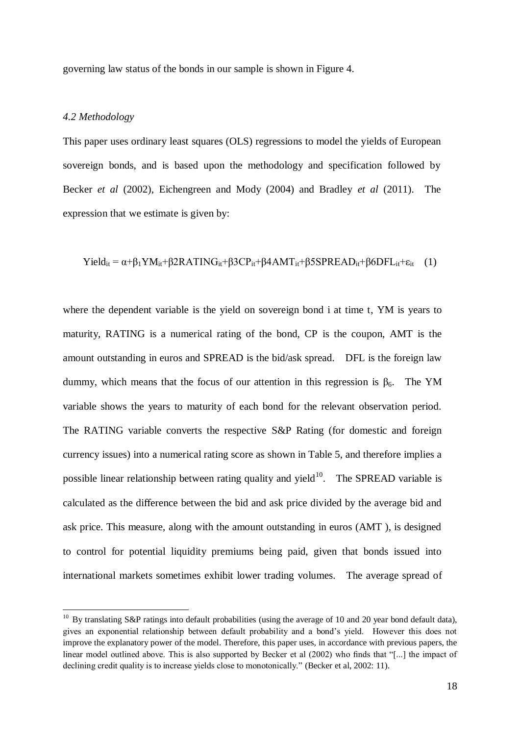governing law status of the bonds in our sample is shown in Figure 4.

#### *4.2 Methodology*

1

This paper uses ordinary least squares (OLS) regressions to model the yields of European sovereign bonds, and is based upon the methodology and specification followed by Becker *et al* (2002), Eichengreen and Mody (2004) and Bradley *et al* (2011). The expression that we estimate is given by:

$$
Yield_{it} = \alpha + \beta_1 YM_{it} + \beta 2RATING_{it} + \beta 3CP_{it} + \beta 4AMT_{it} + \beta 5SPREAD_{it} + \beta 6DFL_{it} + \epsilon_{it} \quad (1)
$$

where the dependent variable is the yield on sovereign bond i at time t, YM is years to maturity, RATING is a numerical rating of the bond, CP is the coupon, AMT is the amount outstanding in euros and SPREAD is the bid/ask spread. DFL is the foreign law dummy, which means that the focus of our attention in this regression is  $β<sub>6</sub>$ . The YM variable shows the years to maturity of each bond for the relevant observation period. The RATING variable converts the respective S&P Rating (for domestic and foreign currency issues) into a numerical rating score as shown in Table 5, and therefore implies a possible linear relationship between rating quality and yield $10$ . The SPREAD variable is calculated as the difference between the bid and ask price divided by the average bid and ask price. This measure, along with the amount outstanding in euros (AMT ), is designed to control for potential liquidity premiums being paid, given that bonds issued into international markets sometimes exhibit lower trading volumes. The average spread of

 $10$  By translating S&P ratings into default probabilities (using the average of 10 and 20 year bond default data), gives an exponential relationship between default probability and a bond's yield. However this does not improve the explanatory power of the model. Therefore, this paper uses, in accordance with previous papers, the linear model outlined above. This is also supported by Becker et al (2002) who finds that "[...] the impact of declining credit quality is to increase yields close to monotonically." (Becker et al, 2002: 11).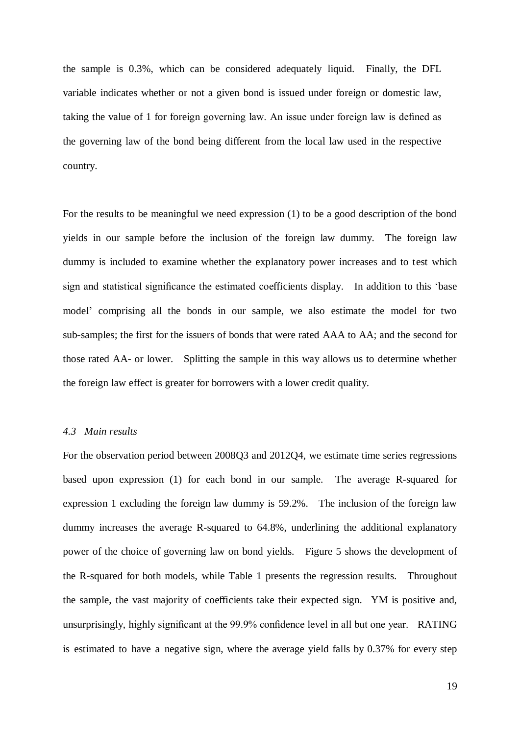the sample is 0.3%, which can be considered adequately liquid. Finally, the DFL variable indicates whether or not a given bond is issued under foreign or domestic law, taking the value of 1 for foreign governing law. An issue under foreign law is defined as the governing law of the bond being different from the local law used in the respective country.

For the results to be meaningful we need expression (1) to be a good description of the bond yields in our sample before the inclusion of the foreign law dummy. The foreign law dummy is included to examine whether the explanatory power increases and to test which sign and statistical significance the estimated coefficients display. In addition to this 'base model' comprising all the bonds in our sample, we also estimate the model for two sub-samples; the first for the issuers of bonds that were rated AAA to AA; and the second for those rated AA- or lower. Splitting the sample in this way allows us to determine whether the foreign law effect is greater for borrowers with a lower credit quality.

#### *4.3 Main results*

For the observation period between 2008Q3 and 2012Q4, we estimate time series regressions based upon expression (1) for each bond in our sample. The average R-squared for expression 1 excluding the foreign law dummy is 59.2%. The inclusion of the foreign law dummy increases the average R-squared to 64.8%, underlining the additional explanatory power of the choice of governing law on bond yields. Figure 5 shows the development of the R-squared for both models, while Table 1 presents the regression results. Throughout the sample, the vast majority of coefficients take their expected sign. YM is positive and, unsurprisingly, highly significant at the 99.9% confidence level in all but one year. RATING is estimated to have a negative sign, where the average yield falls by 0.37% for every step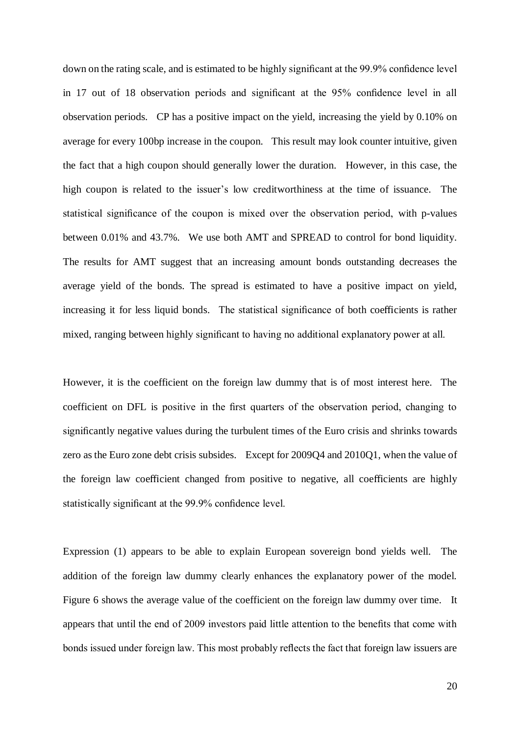down on the rating scale, and is estimated to be highly significant at the 99.9% confidence level in 17 out of 18 observation periods and significant at the 95% confidence level in all observation periods. CP has a positive impact on the yield, increasing the yield by 0.10% on average for every 100bp increase in the coupon. This result may look counter intuitive, given the fact that a high coupon should generally lower the duration. However, in this case, the high coupon is related to the issuer's low creditworthiness at the time of issuance. The statistical significance of the coupon is mixed over the observation period, with p-values between 0.01% and 43.7%. We use both AMT and SPREAD to control for bond liquidity. The results for AMT suggest that an increasing amount bonds outstanding decreases the average yield of the bonds. The spread is estimated to have a positive impact on yield, increasing it for less liquid bonds. The statistical significance of both coefficients is rather mixed, ranging between highly significant to having no additional explanatory power at all.

However, it is the coefficient on the foreign law dummy that is of most interest here. The coefficient on DFL is positive in the first quarters of the observation period, changing to significantly negative values during the turbulent times of the Euro crisis and shrinks towards zero as the Euro zone debt crisis subsides. Except for 2009Q4 and 2010Q1, when the value of the foreign law coefficient changed from positive to negative, all coefficients are highly statistically significant at the 99.9% confidence level.

Expression (1) appears to be able to explain European sovereign bond yields well. The addition of the foreign law dummy clearly enhances the explanatory power of the model. Figure 6 shows the average value of the coefficient on the foreign law dummy over time. It appears that until the end of 2009 investors paid little attention to the benefits that come with bonds issued under foreign law. This most probably reflects the fact that foreign law issuers are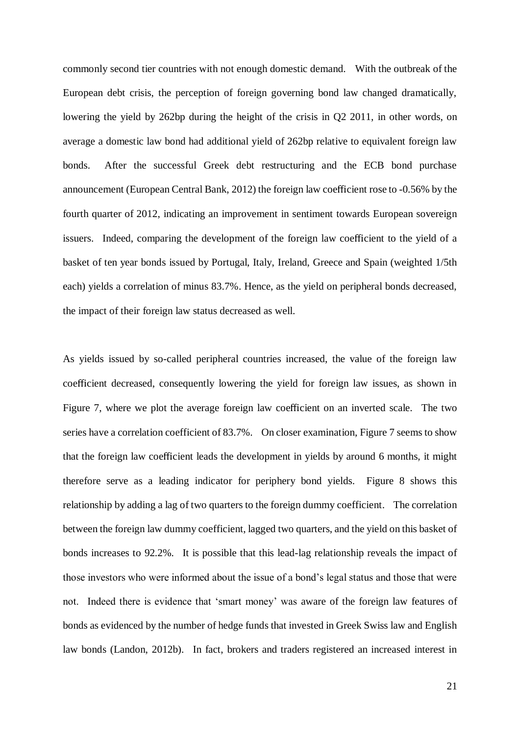commonly second tier countries with not enough domestic demand. With the outbreak of the European debt crisis, the perception of foreign governing bond law changed dramatically, lowering the yield by 262bp during the height of the crisis in Q2 2011, in other words, on average a domestic law bond had additional yield of 262bp relative to equivalent foreign law bonds. After the successful Greek debt restructuring and the ECB bond purchase announcement (European Central Bank, 2012) the foreign law coefficient rose to -0.56% by the fourth quarter of 2012, indicating an improvement in sentiment towards European sovereign issuers. Indeed, comparing the development of the foreign law coefficient to the yield of a basket of ten year bonds issued by Portugal, Italy, Ireland, Greece and Spain (weighted 1/5th each) yields a correlation of minus 83.7%. Hence, as the yield on peripheral bonds decreased, the impact of their foreign law status decreased as well.

As yields issued by so-called peripheral countries increased, the value of the foreign law coefficient decreased, consequently lowering the yield for foreign law issues, as shown in Figure 7, where we plot the average foreign law coefficient on an inverted scale. The two series have a correlation coefficient of 83.7%. On closer examination, Figure 7 seems to show that the foreign law coefficient leads the development in yields by around 6 months, it might therefore serve as a leading indicator for periphery bond yields. Figure 8 shows this relationship by adding a lag of two quarters to the foreign dummy coefficient. The correlation between the foreign law dummy coefficient, lagged two quarters, and the yield on this basket of bonds increases to 92.2%. It is possible that this lead-lag relationship reveals the impact of those investors who were informed about the issue of a bond's legal status and those that were not. Indeed there is evidence that 'smart money' was aware of the foreign law features of bonds as evidenced by the number of hedge funds that invested in Greek Swiss law and English law bonds (Landon, 2012b). In fact, brokers and traders registered an increased interest in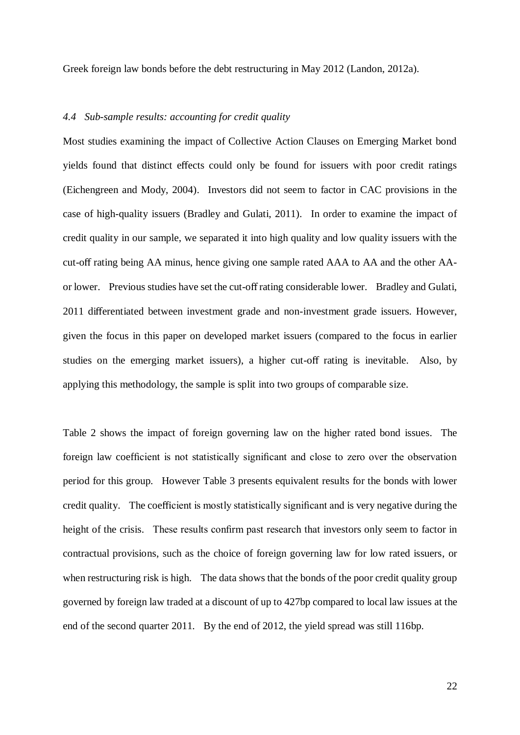Greek foreign law bonds before the debt restructuring in May 2012 (Landon, 2012a).

#### *4.4 Sub-sample results: accounting for credit quality*

Most studies examining the impact of Collective Action Clauses on Emerging Market bond yields found that distinct effects could only be found for issuers with poor credit ratings (Eichengreen and Mody, 2004). Investors did not seem to factor in CAC provisions in the case of high-quality issuers (Bradley and Gulati, 2011). In order to examine the impact of credit quality in our sample, we separated it into high quality and low quality issuers with the cut-off rating being AA minus, hence giving one sample rated AAA to AA and the other AAor lower. Previous studies have set the cut-off rating considerable lower. Bradley and Gulati, 2011 differentiated between investment grade and non-investment grade issuers. However, given the focus in this paper on developed market issuers (compared to the focus in earlier studies on the emerging market issuers), a higher cut-off rating is inevitable. Also, by applying this methodology, the sample is split into two groups of comparable size.

Table 2 shows the impact of foreign governing law on the higher rated bond issues. The foreign law coefficient is not statistically significant and close to zero over the observation period for this group. However Table 3 presents equivalent results for the bonds with lower credit quality. The coefficient is mostly statistically significant and is very negative during the height of the crisis. These results confirm past research that investors only seem to factor in contractual provisions, such as the choice of foreign governing law for low rated issuers, or when restructuring risk is high. The data shows that the bonds of the poor credit quality group governed by foreign law traded at a discount of up to 427bp compared to local law issues at the end of the second quarter 2011. By the end of 2012, the yield spread was still 116bp.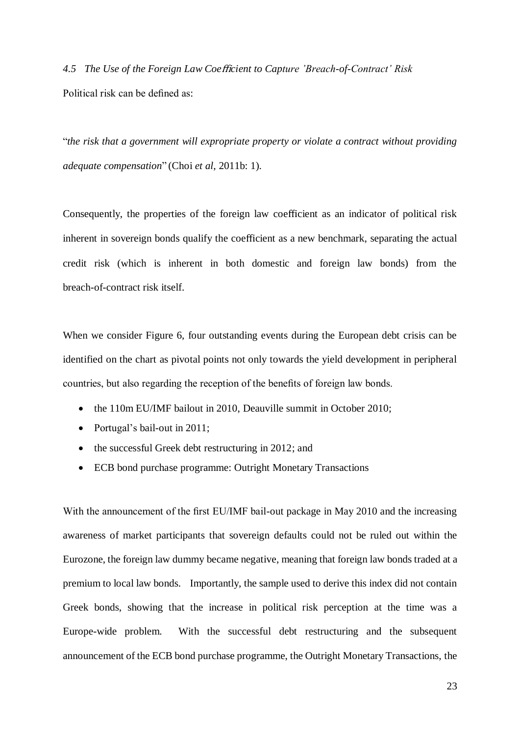*4.5 The Use of the Foreign Law Coe*ffi*cient to Capture 'Breach-of-Contract' Risk*  Political risk can be defined as:

"*the risk that a government will expropriate property or violate a contract without providing adequate compensation*" (Choi *et al*, 2011b: 1).

Consequently, the properties of the foreign law coefficient as an indicator of political risk inherent in sovereign bonds qualify the coefficient as a new benchmark, separating the actual credit risk (which is inherent in both domestic and foreign law bonds) from the breach-of-contract risk itself.

When we consider Figure 6, four outstanding events during the European debt crisis can be identified on the chart as pivotal points not only towards the yield development in peripheral countries, but also regarding the reception of the benefits of foreign law bonds.

- the 110m EU/IMF bailout in 2010, Deauville summit in October 2010;
- Portugal's bail-out in 2011;
- the successful Greek debt restructuring in 2012; and
- ECB bond purchase programme: Outright Monetary Transactions

With the announcement of the first EU/IMF bail-out package in May 2010 and the increasing awareness of market participants that sovereign defaults could not be ruled out within the Eurozone, the foreign law dummy became negative, meaning that foreign law bonds traded at a premium to local law bonds. Importantly, the sample used to derive this index did not contain Greek bonds, showing that the increase in political risk perception at the time was a Europe-wide problem. With the successful debt restructuring and the subsequent announcement of the ECB bond purchase programme, the Outright Monetary Transactions, the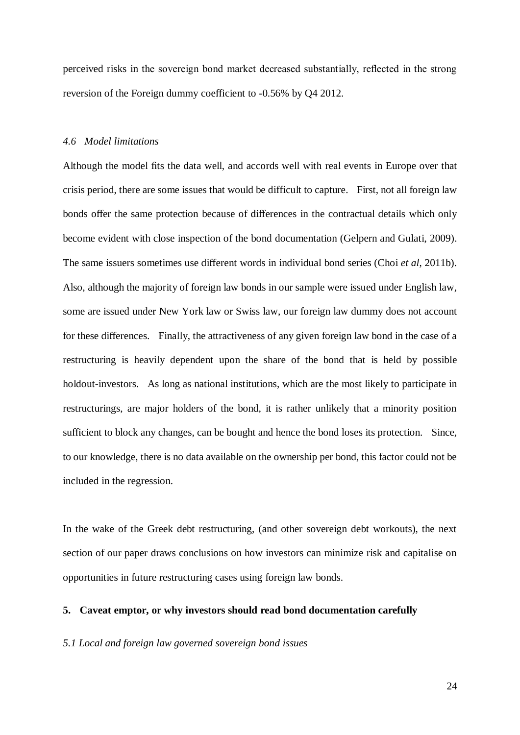perceived risks in the sovereign bond market decreased substantially, reflected in the strong reversion of the Foreign dummy coefficient to -0.56% by Q4 2012.

#### *4.6 Model limitations*

Although the model fits the data well, and accords well with real events in Europe over that crisis period, there are some issues that would be difficult to capture. First, not all foreign law bonds offer the same protection because of differences in the contractual details which only become evident with close inspection of the bond documentation (Gelpern and Gulati, 2009). The same issuers sometimes use different words in individual bond series (Choi *et al*, 2011b). Also, although the majority of foreign law bonds in our sample were issued under English law, some are issued under New York law or Swiss law, our foreign law dummy does not account for these differences. Finally, the attractiveness of any given foreign law bond in the case of a restructuring is heavily dependent upon the share of the bond that is held by possible holdout-investors. As long as national institutions, which are the most likely to participate in restructurings, are major holders of the bond, it is rather unlikely that a minority position sufficient to block any changes, can be bought and hence the bond loses its protection. Since, to our knowledge, there is no data available on the ownership per bond, this factor could not be included in the regression.

In the wake of the Greek debt restructuring, (and other sovereign debt workouts), the next section of our paper draws conclusions on how investors can minimize risk and capitalise on opportunities in future restructuring cases using foreign law bonds.

#### **5. Caveat emptor, or why investors should read bond documentation carefully**

#### *5.1 Local and foreign law governed sovereign bond issues*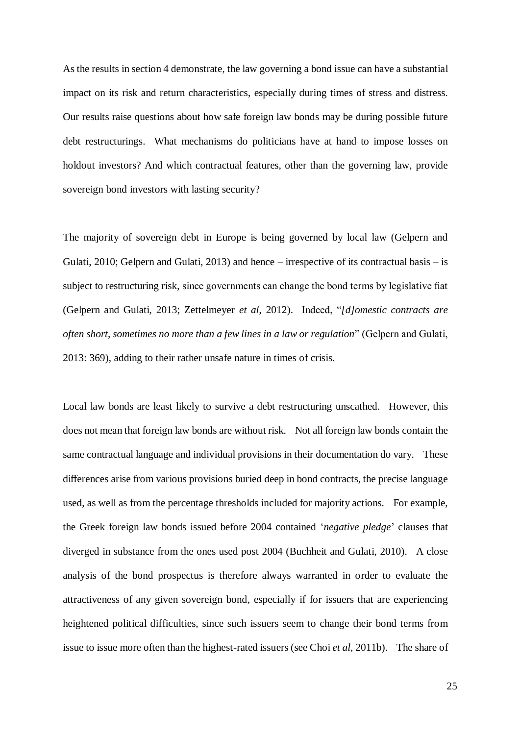As the results in section 4 demonstrate, the law governing a bond issue can have a substantial impact on its risk and return characteristics, especially during times of stress and distress. Our results raise questions about how safe foreign law bonds may be during possible future debt restructurings. What mechanisms do politicians have at hand to impose losses on holdout investors? And which contractual features, other than the governing law, provide sovereign bond investors with lasting security?

The majority of sovereign debt in Europe is being governed by local law (Gelpern and Gulati, 2010; Gelpern and Gulati, 2013) and hence – irrespective of its contractual basis – is subject to restructuring risk, since governments can change the bond terms by legislative fiat (Gelpern and Gulati, 2013; Zettelmeyer *et al*, 2012). Indeed, "*[d]omestic contracts are often short, sometimes no more than a few lines in a law or regulation*" (Gelpern and Gulati, 2013: 369), adding to their rather unsafe nature in times of crisis.

Local law bonds are least likely to survive a debt restructuring unscathed. However, this does not mean that foreign law bonds are without risk. Not all foreign law bonds contain the same contractual language and individual provisions in their documentation do vary. These differences arise from various provisions buried deep in bond contracts, the precise language used, as well as from the percentage thresholds included for majority actions. For example, the Greek foreign law bonds issued before 2004 contained '*negative pledge*' clauses that diverged in substance from the ones used post 2004 (Buchheit and Gulati, 2010). A close analysis of the bond prospectus is therefore always warranted in order to evaluate the attractiveness of any given sovereign bond, especially if for issuers that are experiencing heightened political difficulties, since such issuers seem to change their bond terms from issue to issue more often than the highest-rated issuers (see Choi *et al*, 2011b). The share of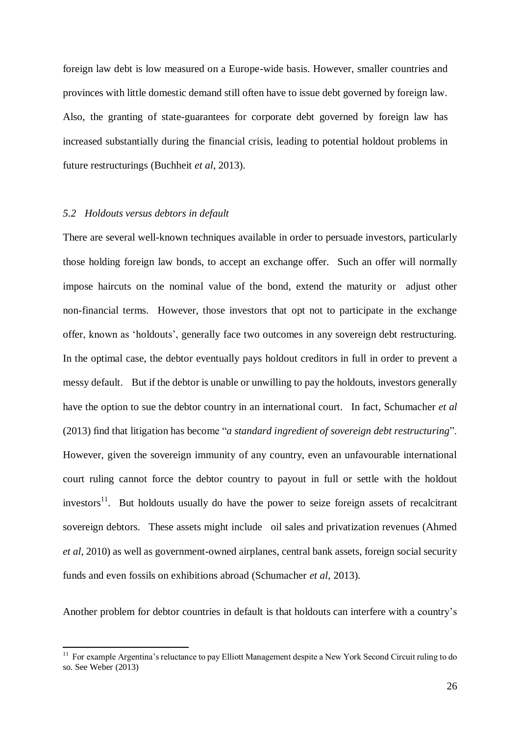foreign law debt is low measured on a Europe-wide basis. However, smaller countries and provinces with little domestic demand still often have to issue debt governed by foreign law. Also, the granting of state-guarantees for corporate debt governed by foreign law has increased substantially during the financial crisis, leading to potential holdout problems in future restructurings (Buchheit *et al*, 2013).

#### *5.2 Holdouts versus debtors in default*

1

There are several well-known techniques available in order to persuade investors, particularly those holding foreign law bonds, to accept an exchange offer. Such an offer will normally impose haircuts on the nominal value of the bond, extend the maturity or adjust other non-financial terms. However, those investors that opt not to participate in the exchange offer, known as 'holdouts', generally face two outcomes in any sovereign debt restructuring. In the optimal case, the debtor eventually pays holdout creditors in full in order to prevent a messy default. But if the debtor is unable or unwilling to pay the holdouts, investors generally have the option to sue the debtor country in an international court. In fact, Schumacher *et al* (2013) find that litigation has become "*a standard ingredient of sovereign debt restructuring*". However, given the sovereign immunity of any country, even an unfavourable international court ruling cannot force the debtor country to payout in full or settle with the holdout investors $1$ <sup>1</sup>. But holdouts usually do have the power to seize foreign assets of recalcitrant sovereign debtors. These assets might include oil sales and privatization revenues (Ahmed *et al*, 2010) as well as government-owned airplanes, central bank assets, foreign social security funds and even fossils on exhibitions abroad (Schumacher *et al*, 2013).

Another problem for debtor countries in default is that holdouts can interfere with a country's

<sup>&</sup>lt;sup>11</sup> For example Argentina's reluctance to pay Elliott Management despite a New York Second Circuit ruling to do so. See Weber (2013)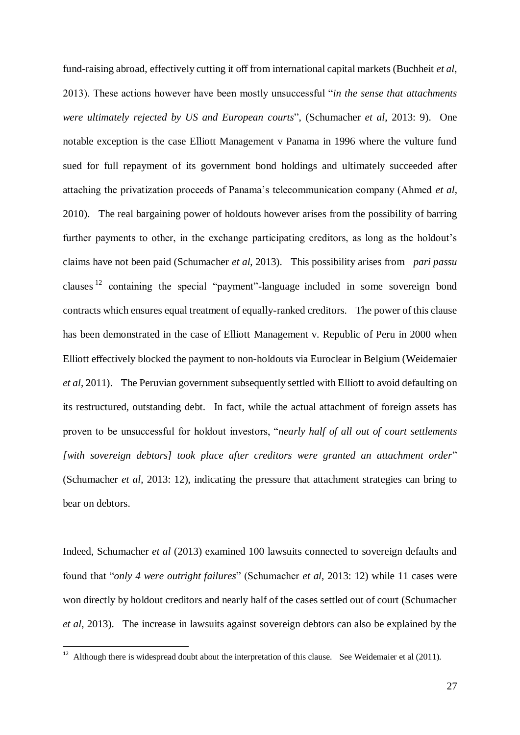fund-raising abroad, effectively cutting it off from international capital markets (Buchheit *et al*, 2013). These actions however have been mostly unsuccessful "*in the sense that attachments were ultimately rejected by US and European courts*", (Schumacher *et al*, 2013: 9). One notable exception is the case Elliott Management v Panama in 1996 where the vulture fund sued for full repayment of its government bond holdings and ultimately succeeded after attaching the privatization proceeds of Panama's telecommunication company (Ahmed *et al*, 2010). The real bargaining power of holdouts however arises from the possibility of barring further payments to other, in the exchange participating creditors, as long as the holdout's claims have not been paid (Schumacher *et al*, 2013). This possibility arises from *pari passu* clauses  $12$  containing the special "payment"-language included in some sovereign bond contracts which ensures equal treatment of equally-ranked creditors. The power of this clause has been demonstrated in the case of Elliott Management v. Republic of Peru in 2000 when Elliott effectively blocked the payment to non-holdouts via Euroclear in Belgium (Weidemaier *et al*, 2011). The Peruvian government subsequently settled with Elliott to avoid defaulting on its restructured, outstanding debt. In fact, while the actual attachment of foreign assets has proven to be unsuccessful for holdout investors, "*nearly half of all out of court settlements [with sovereign debtors] took place after creditors were granted an attachment order*" (Schumacher *et al*, 2013: 12), indicating the pressure that attachment strategies can bring to bear on debtors.

Indeed, Schumacher *et al* (2013) examined 100 lawsuits connected to sovereign defaults and found that "*only 4 were outright failures*" (Schumacher *et al*, 2013: 12) while 11 cases were won directly by holdout creditors and nearly half of the cases settled out of court (Schumacher *et al*, 2013). The increase in lawsuits against sovereign debtors can also be explained by the

-

 $12$  Although there is widespread doubt about the interpretation of this clause. See Weidemaier et al (2011).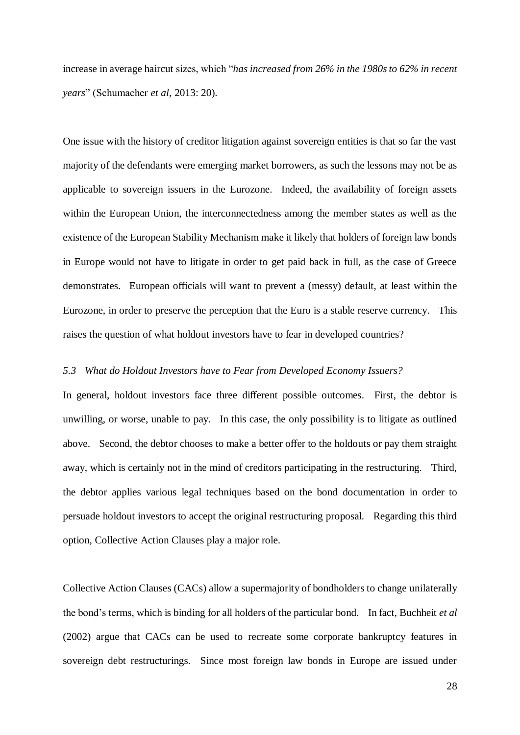increase in average haircut sizes, which "*has increased from 26% in the 1980s to 62% in recent years*" (Schumacher *et al*, 2013: 20).

One issue with the history of creditor litigation against sovereign entities is that so far the vast majority of the defendants were emerging market borrowers, as such the lessons may not be as applicable to sovereign issuers in the Eurozone. Indeed, the availability of foreign assets within the European Union, the interconnectedness among the member states as well as the existence of the European Stability Mechanism make it likely that holders of foreign law bonds in Europe would not have to litigate in order to get paid back in full, as the case of Greece demonstrates. European officials will want to prevent a (messy) default, at least within the Eurozone, in order to preserve the perception that the Euro is a stable reserve currency. This raises the question of what holdout investors have to fear in developed countries?

#### *5.3 What do Holdout Investors have to Fear from Developed Economy Issuers?*

In general, holdout investors face three different possible outcomes. First, the debtor is unwilling, or worse, unable to pay. In this case, the only possibility is to litigate as outlined above. Second, the debtor chooses to make a better offer to the holdouts or pay them straight away, which is certainly not in the mind of creditors participating in the restructuring. Third, the debtor applies various legal techniques based on the bond documentation in order to persuade holdout investors to accept the original restructuring proposal. Regarding this third option, Collective Action Clauses play a major role.

Collective Action Clauses (CACs) allow a supermajority of bondholders to change unilaterally the bond's terms, which is binding for all holders of the particular bond. In fact, Buchheit *et al* (2002) argue that CACs can be used to recreate some corporate bankruptcy features in sovereign debt restructurings. Since most foreign law bonds in Europe are issued under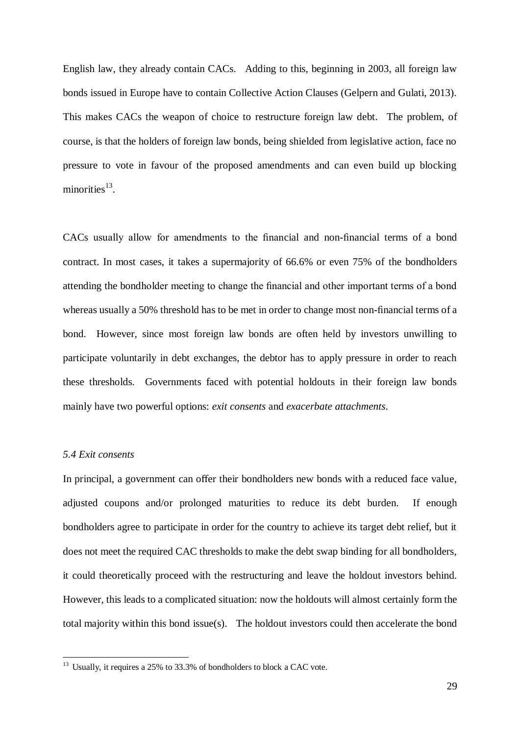English law, they already contain CACs. Adding to this, beginning in 2003, all foreign law bonds issued in Europe have to contain Collective Action Clauses (Gelpern and Gulati, 2013). This makes CACs the weapon of choice to restructure foreign law debt. The problem, of course, is that the holders of foreign law bonds, being shielded from legislative action, face no pressure to vote in favour of the proposed amendments and can even build up blocking minorities<sup>13</sup>.

CACs usually allow for amendments to the financial and non-financial terms of a bond contract. In most cases, it takes a supermajority of 66.6% or even 75% of the bondholders attending the bondholder meeting to change the financial and other important terms of a bond whereas usually a 50% threshold has to be met in order to change most non-financial terms of a bond. However, since most foreign law bonds are often held by investors unwilling to participate voluntarily in debt exchanges, the debtor has to apply pressure in order to reach these thresholds. Governments faced with potential holdouts in their foreign law bonds mainly have two powerful options: *exit consents* and *exacerbate attachments*.

#### *5.4 Exit consents*

**.** 

In principal, a government can offer their bondholders new bonds with a reduced face value, adjusted coupons and/or prolonged maturities to reduce its debt burden. If enough bondholders agree to participate in order for the country to achieve its target debt relief, but it does not meet the required CAC thresholds to make the debt swap binding for all bondholders, it could theoretically proceed with the restructuring and leave the holdout investors behind. However, this leads to a complicated situation: now the holdouts will almost certainly form the total majority within this bond issue(s). The holdout investors could then accelerate the bond

 $13$  Usually, it requires a 25% to 33.3% of bondholders to block a CAC vote.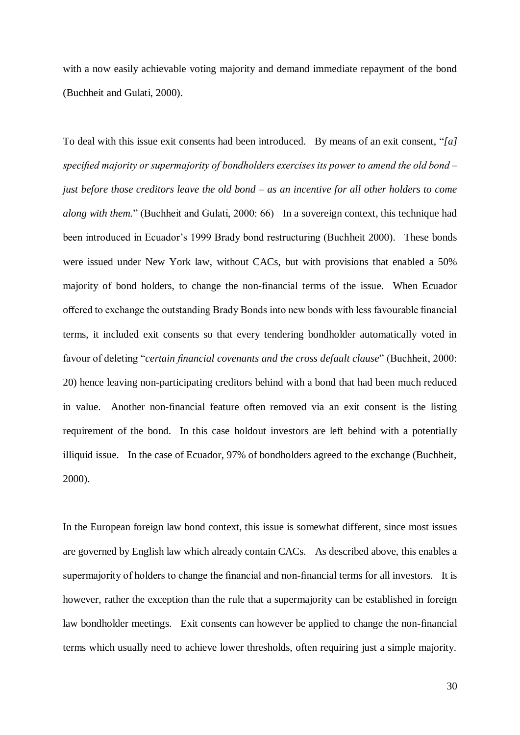with a now easily achievable voting majority and demand immediate repayment of the bond (Buchheit and Gulati, 2000).

To deal with this issue exit consents had been introduced. By means of an exit consent, "*[a] specified majority or supermajority of bondholders exercises its power to amend the old bond – just before those creditors leave the old bond – as an incentive for all other holders to come along with them.*" (Buchheit and Gulati, 2000: 66) In a sovereign context, this technique had been introduced in Ecuador's 1999 Brady bond restructuring (Buchheit 2000). These bonds were issued under New York law, without CACs, but with provisions that enabled a 50% majority of bond holders, to change the non-financial terms of the issue. When Ecuador offered to exchange the outstanding Brady Bonds into new bonds with less favourable financial terms, it included exit consents so that every tendering bondholder automatically voted in favour of deleting "*certain financial covenants and the cross default clause*" (Buchheit, 2000: 20) hence leaving non-participating creditors behind with a bond that had been much reduced in value. Another non-financial feature often removed via an exit consent is the listing requirement of the bond. In this case holdout investors are left behind with a potentially illiquid issue. In the case of Ecuador, 97% of bondholders agreed to the exchange (Buchheit, 2000).

In the European foreign law bond context, this issue is somewhat different, since most issues are governed by English law which already contain CACs. As described above, this enables a supermajority of holders to change the financial and non-financial terms for all investors. It is however, rather the exception than the rule that a supermajority can be established in foreign law bondholder meetings. Exit consents can however be applied to change the non-financial terms which usually need to achieve lower thresholds, often requiring just a simple majority.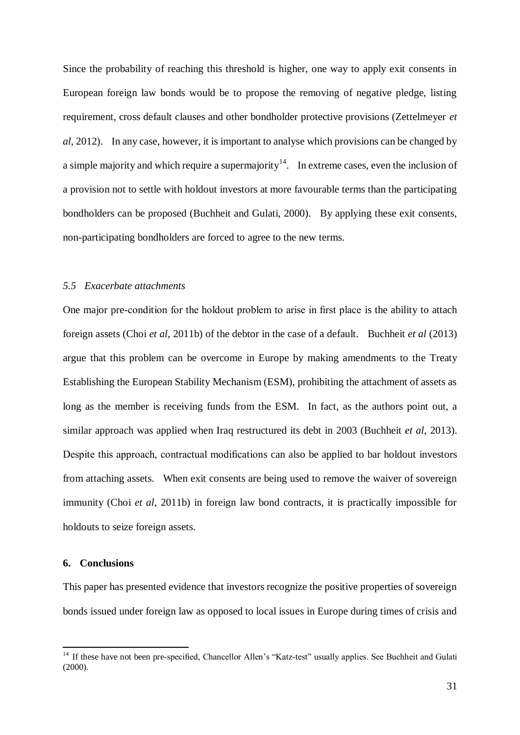Since the probability of reaching this threshold is higher, one way to apply exit consents in European foreign law bonds would be to propose the removing of negative pledge, listing requirement, cross default clauses and other bondholder protective provisions (Zettelmeyer *et al*, 2012). In any case, however, it is important to analyse which provisions can be changed by a simple majority and which require a supermajority<sup>14</sup>. In extreme cases, even the inclusion of a provision not to settle with holdout investors at more favourable terms than the participating bondholders can be proposed (Buchheit and Gulati, 2000). By applying these exit consents, non-participating bondholders are forced to agree to the new terms.

#### *5.5 Exacerbate attachments*

One major pre-condition for the holdout problem to arise in first place is the ability to attach foreign assets (Choi *et al*, 2011b) of the debtor in the case of a default. Buchheit *et al* (2013) argue that this problem can be overcome in Europe by making amendments to the Treaty Establishing the European Stability Mechanism (ESM), prohibiting the attachment of assets as long as the member is receiving funds from the ESM. In fact, as the authors point out, a similar approach was applied when Iraq restructured its debt in 2003 (Buchheit *et al*, 2013). Despite this approach, contractual modifications can also be applied to bar holdout investors from attaching assets. When exit consents are being used to remove the waiver of sovereign immunity (Choi *et al*, 2011b) in foreign law bond contracts, it is practically impossible for holdouts to seize foreign assets.

#### **6. Conclusions**

1

This paper has presented evidence that investors recognize the positive properties of sovereign bonds issued under foreign law as opposed to local issues in Europe during times of crisis and

<sup>&</sup>lt;sup>14</sup> If these have not been pre-specified, Chancellor Allen's "Katz-test" usually applies. See Buchheit and Gulati (2000).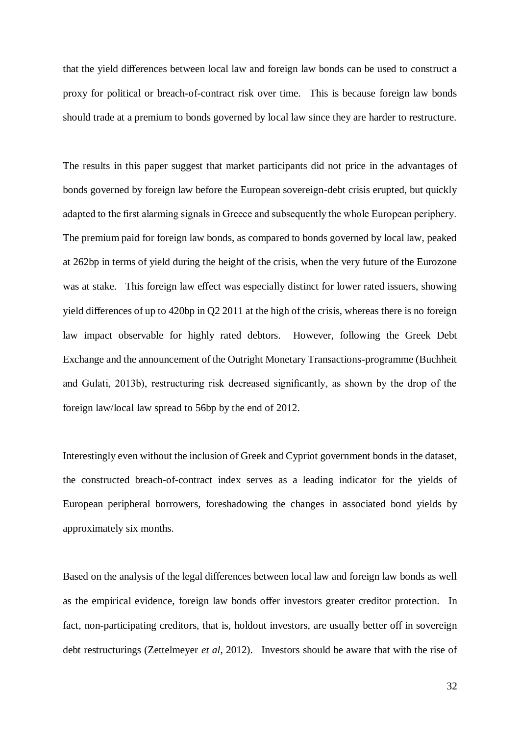that the yield differences between local law and foreign law bonds can be used to construct a proxy for political or breach-of-contract risk over time. This is because foreign law bonds should trade at a premium to bonds governed by local law since they are harder to restructure.

The results in this paper suggest that market participants did not price in the advantages of bonds governed by foreign law before the European sovereign-debt crisis erupted, but quickly adapted to the first alarming signals in Greece and subsequently the whole European periphery. The premium paid for foreign law bonds, as compared to bonds governed by local law, peaked at 262bp in terms of yield during the height of the crisis, when the very future of the Eurozone was at stake. This foreign law effect was especially distinct for lower rated issuers, showing yield differences of up to 420bp in Q2 2011 at the high of the crisis, whereas there is no foreign law impact observable for highly rated debtors. However, following the Greek Debt Exchange and the announcement of the Outright Monetary Transactions-programme (Buchheit and Gulati, 2013b), restructuring risk decreased significantly, as shown by the drop of the foreign law/local law spread to 56bp by the end of 2012.

Interestingly even without the inclusion of Greek and Cypriot government bonds in the dataset, the constructed breach-of-contract index serves as a leading indicator for the yields of European peripheral borrowers, foreshadowing the changes in associated bond yields by approximately six months.

Based on the analysis of the legal differences between local law and foreign law bonds as well as the empirical evidence, foreign law bonds offer investors greater creditor protection. In fact, non-participating creditors, that is, holdout investors, are usually better off in sovereign debt restructurings (Zettelmeyer *et al*, 2012). Investors should be aware that with the rise of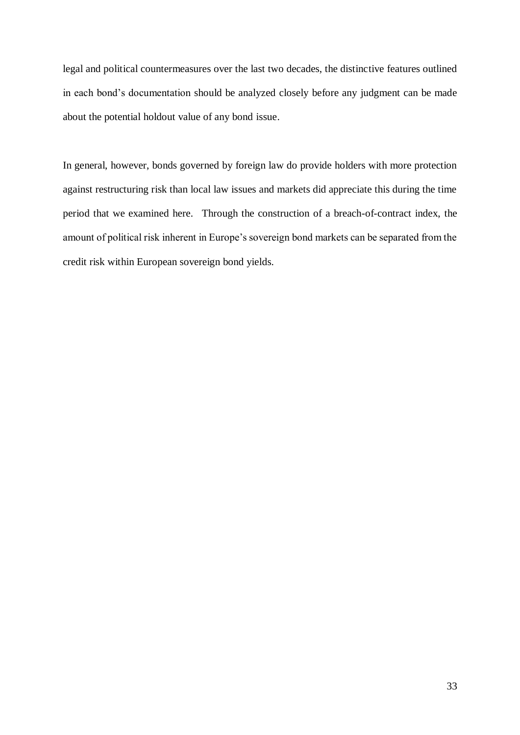legal and political countermeasures over the last two decades, the distinctive features outlined in each bond's documentation should be analyzed closely before any judgment can be made about the potential holdout value of any bond issue.

In general, however, bonds governed by foreign law do provide holders with more protection against restructuring risk than local law issues and markets did appreciate this during the time period that we examined here. Through the construction of a breach-of-contract index, the amount of political risk inherent in Europe's sovereign bond markets can be separated from the credit risk within European sovereign bond yields.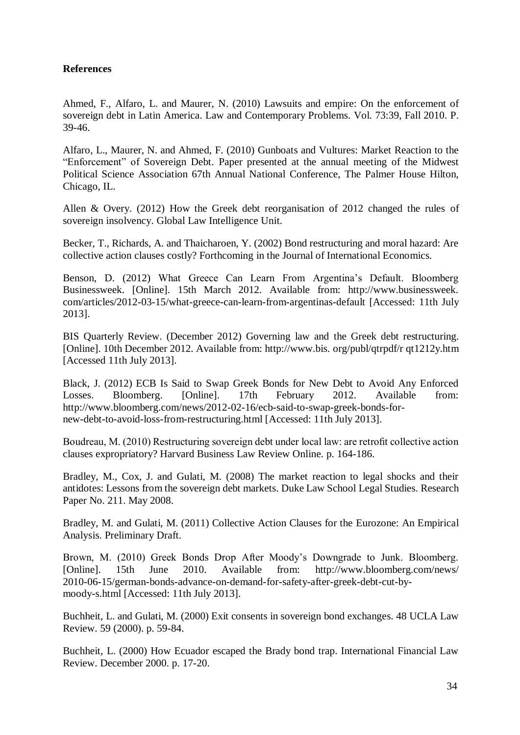## **References**

Ahmed, F., Alfaro, L. and Maurer, N. (2010) Lawsuits and empire: On the enforcement of sovereign debt in Latin America. Law and Contemporary Problems. Vol. 73:39, Fall 2010. P. 39-46.

Alfaro, L., Maurer, N. and Ahmed, F. (2010) Gunboats and Vultures: Market Reaction to the "Enforcement" of Sovereign Debt. Paper presented at the annual meeting of the Midwest Political Science Association 67th Annual National Conference, The Palmer House Hilton, Chicago, IL.

Allen & Overy. (2012) How the Greek debt reorganisation of 2012 changed the rules of sovereign insolvency. Global Law Intelligence Unit.

Becker, T., Richards, A. and Thaicharoen, Y. (2002) Bond restructuring and moral hazard: Are collective action clauses costly? Forthcoming in the Journal of International Economics.

Benson, D. (2012) What Greece Can Learn From Argentina's Default. Bloomberg [Businessweek. \[Online\]. 15th March 2012. Available from: http://www.businessweek.](http://www.businessweek.com/articles/2012-03-15/what-greece-can-learn-from-argentinas-default)  [com/articles/2012-03-15/what-greece-can-learn-from-argentinas-default \[Accessed: 1](http://www.businessweek.com/articles/2012-03-15/what-greece-can-learn-from-argentinas-default)1th July 2013].

BIS Quarterly Review. (December 2012) Governing law and the Greek debt [restructuring.](http://www.bis.org/publ/qtrpdf/r_qt1212y.htm)  [\[Online\]. 10th December 2012. Available from: http://www.bis. org/publ/qtrpdf/r qt1212y.htm](http://www.bis.org/publ/qtrpdf/r_qt1212y.htm)  [Accessed 11th July 2013].

Black, J. (2012) ECB Is Said to Swap Greek Bonds for New Debt to Avoid Any Enforced Losses. Bloomberg. [Online]. 17th February 2012. Available from: [http://www.bloomberg.com/news/2012-02-16/ecb-said-to-swap-greek-bonds-for](http://www.bloomberg.com/news/2012-02-16/ecb-said-to-swap-greek-bonds-for-new-debt-to-avoid-loss-from-restructuring.html)[new-debt-to-avoid-loss-from-restructuring.html \[Accessed: 11th July 2013\].](http://www.bloomberg.com/news/2012-02-16/ecb-said-to-swap-greek-bonds-for-new-debt-to-avoid-loss-from-restructuring.html) 

Boudreau, M. (2010) Restructuring sovereign debt under local law: are retrofit collective action clauses expropriatory? Harvard Business Law Review Online. p. 164-186.

Bradley, M., Cox, J. and Gulati, M. (2008) The market reaction to legal shocks and their antidotes: Lessons from the sovereign debt markets. Duke Law School Legal Studies. Research Paper No. 211. May 2008.

Bradley, M. and Gulati, M. (2011) Collective Action Clauses for the Eurozone: An Empirical Analysis. Preliminary Draft.

Brown, M. (2010) Greek Bonds Drop After Moody's Downgrade to Junk. Bloomberg. [Online]. 15th June 2010. Available from: [http://www.bloomberg.com/news/](http://www.bloomberg.com/news/2010-06-15/german-bonds-advance-on-demand-for-safety-after-greek-debt-cut-by-moody-s.html)  [2010-06-15/german-bonds-advance-on-demand-for-safety-after-greek-debt-cut-by](http://www.bloomberg.com/news/2010-06-15/german-bonds-advance-on-demand-for-safety-after-greek-debt-cut-by-moody-s.html)[moody-s.html \[Accessed: 11th July 2013\].](http://www.bloomberg.com/news/2010-06-15/german-bonds-advance-on-demand-for-safety-after-greek-debt-cut-by-moody-s.html) 

Buchheit, L. and Gulati, M. (2000) Exit consents in sovereign bond exchanges. 48 UCLA Law Review. 59 (2000). p. 59-84.

Buchheit, L. (2000) How Ecuador escaped the Brady bond trap. International Financial Law Review. December 2000. p. 17-20.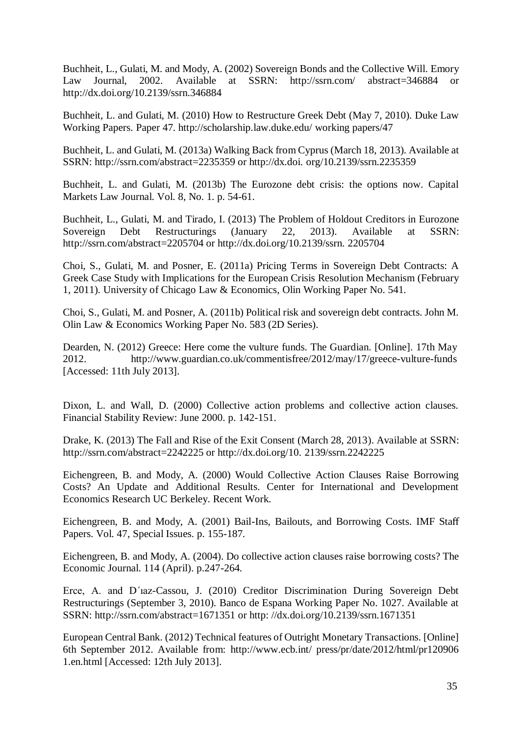Buchheit, L., Gulati, M. and Mody, A. (2002) Sovereign Bonds and the Collective Will. Emory Law Journal, 2002. [Available at SSRN: http://ssrn.com/ abstract=346884 or](http://ssrn.com/abstract=346884)  http://dx.doi.org/10.2139/ssrn.346884

Buchheit, L. and Gulati, M. (2010) How to Restructure Greek Debt (May 7, 2010). Duke Law Working Papers. [Paper 47. http://scholarship.law.duke.edu/ working papers/47](http://scholarship.law.duke.edu/working_papers/47) 

Buchheit, L. and Gulati, M. (2013a) Walking Back from Cyprus (March 18, [2013\). Available at](http://ssrn.com/abstract=2235359)  [SSRN: http://ssrn.com/abstract=2235359 or http://dx.doi. org/10.2139/ssrn.2235359](http://ssrn.com/abstract=2235359) 

Buchheit, L. and Gulati, M. (2013b) The Eurozone debt crisis: the options now. Capital Markets Law Journal. Vol. 8, No. 1. p. 54-61.

Buchheit, L., Gulati, M. and Tirado, I. (2013) The Problem of Holdout Creditors in Eurozone Sovereign Debt Restructurings (January 22, 2013). Available [at SSRN:](http://ssrn.com/abstract=2205704)  [http://ssrn.com/abstract=2205704 or http://dx.doi.org/10.2139/ssrn. 2205704](http://ssrn.com/abstract=2205704) 

Choi, S., Gulati, M. and Posner, E. (2011a) Pricing Terms in Sovereign Debt Contracts: A Greek Case Study with Implications for the European Crisis Resolution Mechanism (February 1, 2011). University of Chicago Law & Economics, Olin Working Paper No. 541.

Choi, S., Gulati, M. and Posner, A. (2011b) Political risk and sovereign debt contracts. John M. Olin Law & Economics Working Paper No. 583 (2D Series).

Dearden, N. (2012) Greece: Here come the vulture funds. The Guardian. [Online]. 17th May 2012. http://www.guardian.co.uk/commentisfree[/2012/may/17/greece-vulture-funds](http://www.guardian.co.uk/commentisfree/2012/may/17/greece-vulture-funds)  [\[Accessed: 11th July 2013\].](http://www.guardian.co.uk/commentisfree/2012/may/17/greece-vulture-funds) 

Dixon, L. and Wall, D. (2000) Collective action problems and collective action clauses. Financial Stability Review: June 2000. p. 142-151.

Drake, K. (2013) The Fall and Rise of the Exit Consent (March 28, 2013). [Available at SSRN:](http://ssrn.com/abstract=2242225)  [http://ssrn.com/abstract=2242225 or http://dx.doi.org/10. 2139/ssrn.2242225](http://ssrn.com/abstract=2242225) 

Eichengreen, B. and Mody, A. (2000) Would Collective Action Clauses Raise Borrowing Costs? An Update and Additional Results. Center for International and Development Economics Research UC Berkeley. Recent Work.

Eichengreen, B. and Mody, A. (2001) Bail-Ins, Bailouts, and Borrowing Costs. IMF Staff Papers. Vol. 47, Special Issues. p. 155-187.

Eichengreen, B. and Mody, A. (2004). Do collective action clauses raise borrowing costs? The Economic Journal. 114 (April). p.247-264.

Erce, A. and D´ıaz-Cassou, J. (2010) Creditor Discrimination During Sovereign Debt Restructurings (September 3, 2010). Banco de Espana Working Paper No. 1027. Available at [SSRN: http://ssrn.com/abstract=1671351 o](http://ssrn.com/abstract=1671351)r [http: //dx.doi.org/10.2139/ssrn.1671351](http://dx.doi.org/10.2139/ssrn.1671351) 

European Central Bank. (2012) Technical features of Outright Monetary Transactions. [Online] 6th September 2012. Available from: [http://www.ecb.int/ press/pr/date/2012/html/pr120906](http://www.ecb.int/press/pr/date/2012/html/pr120906_1.en.html)  1.en.html [Accessed: 12th July 2013].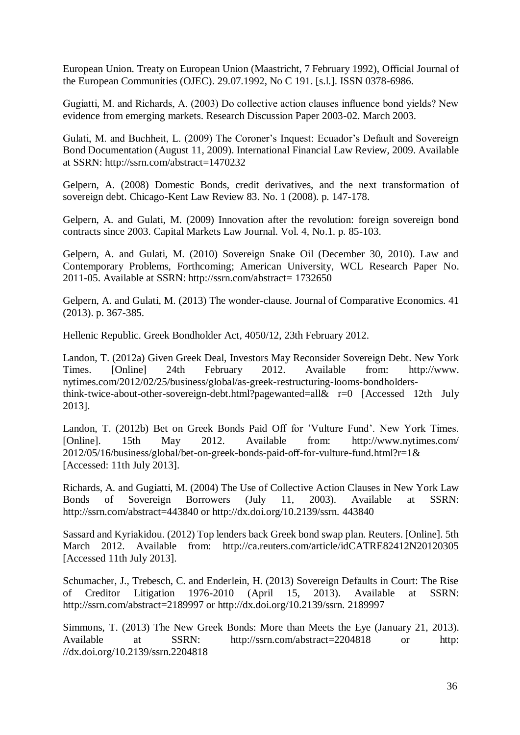European Union. Treaty on European Union (Maastricht, 7 February 1992), Official Journal of the European Communities (OJEC). 29.07.1992, No C 191. [s.l.]. ISSN 0378-6986.

Gugiatti, M. and Richards, A. (2003) Do collective action clauses influence bond yields? New evidence from emerging markets. Research Discussion Paper 2003-02. March 2003.

Gulati, M. and Buchheit, L. (2009) The Coroner's Inquest: Ecuador's Default and Sovereign Bond Documentation (August 11, 2009). International Financial [Law Review, 2009. Available](http://ssrn.com/abstract=1470232)  [at SSRN: http://ssrn.com/abstract=1470232](http://ssrn.com/abstract=1470232) 

Gelpern, A. (2008) Domestic Bonds, credit derivatives, and the next transformation of sovereign debt. Chicago-Kent Law Review 83. No. 1 (2008). p. 147-178.

Gelpern, A. and Gulati, M. (2009) Innovation after the revolution: foreign sovereign bond contracts since 2003. Capital Markets Law Journal. Vol. 4, No.1. p. 85-103.

Gelpern, A. and Gulati, M. (2010) Sovereign Snake Oil (December 30, 2010). Law and Contemporary Problems, Forthcoming; American University, WCL Research Paper No. 2011-05. [Available at SSRN: http://ssrn.com/abstract= 1732650](http://ssrn.com/abstract=1732650) 

Gelpern, A. and Gulati, M. (2013) The wonder-clause. Journal of Comparative Economics. 41 (2013). p. 367-385.

Hellenic Republic. Greek Bondholder Act, 4050/12, 23th February 2012.

Landon, T. (2012a) Given Greek Deal, Investors May Reconsider Sovereign Debt. New York Times. [Online] 24th February 2012. Available from: [http://www.](http://www.nytimes.com/2012/02/25/business/global/as-greek-restructuring-%20looms-bondholders-think-twice-about-other-sovereign-debt.html?pagewanted=all&_r=0)  [nytimes.com/2012/02/25/business/global/as-greek-restructuring-looms-bondholders](http://www.nytimes.com/2012/02/25/business/global/as-greek-restructuring-%20looms-bondholders-think-twice-about-other-sovereign-debt.html?pagewanted=all&_r=0)[think-twice-about-other-sovereign-debt.html?pagewanted=all& r=0 \[Accessed 12th J](http://www.nytimes.com/2012/02/25/business/global/as-greek-restructuring-%20looms-bondholders-think-twice-about-other-sovereign-debt.html?pagewanted=all&_r=0)uly 2013].

Landon, T. (2012b) Bet on Greek Bonds Paid Off for 'Vulture Fund'. New York Times. [Online]. 15th May 2012. Available from: [http://www.nytimes.com/](http://www.nytimes.com/2012/05/16/business/global/bet-on-greek-bonds-paid-off-for-vulture-fund.html?_r=1&)  2012/05/16/business/global/bet-on-greek-bonds-paid-off-for-vulture-fund.html[?r=1&](http://www.nytimes.com/2012/05/16/business/global/bet-on-greek-bonds-paid-off-for-vulture-fund.html?_r=1&)  [Accessed: 11th July 2013].

Richards, A. and Gugiatti, M. (2004) The Use of Collective Action Clauses in New York Law Bonds of Sovereign Borrowers (July 11, 2003). Available [at SSRN:](http://ssrn.com/abstract=443840)  [http://ssrn.com/abstract=443840 or http://dx.doi.org/10.2139/ssrn. 443840](http://ssrn.com/abstract=443840) 

Sassard and Kyriakidou. (2012) Top lenders back Greek bond swap plan. Reuters. [Online]. 5th March 2012. Available from: <http://ca.reuters.com/article/idCATRE82412N20120305> [\[Accessed 11th July 2013\].](http://ca.reuters.com/article/idCATRE82412N20120305) 

Schumacher, J., Trebesch, C. and Enderlein, H. (2013) Sovereign Defaults in Court: The Rise of Creditor Litigation 1976-2010 (April 15, 2013). Available [at SSRN:](http://ssrn.com/abstract=2189997)  [http://ssrn.com/abstract=2189997 or http://dx.doi.org/10.2139/ssrn. 2189997](http://ssrn.com/abstract=2189997) 

Simmons, T. (2013) The New Greek Bonds: More than Meets the Eye (Ja[nuary 21, 2013\).](http://ssrn.com/abstract=2204818)  Available at SSRN: http://ssrn.com/abstract=2204818 or http: [//dx.doi.org/10.2139/ssrn.2204818](http://ssrn.com/abstract=2204818)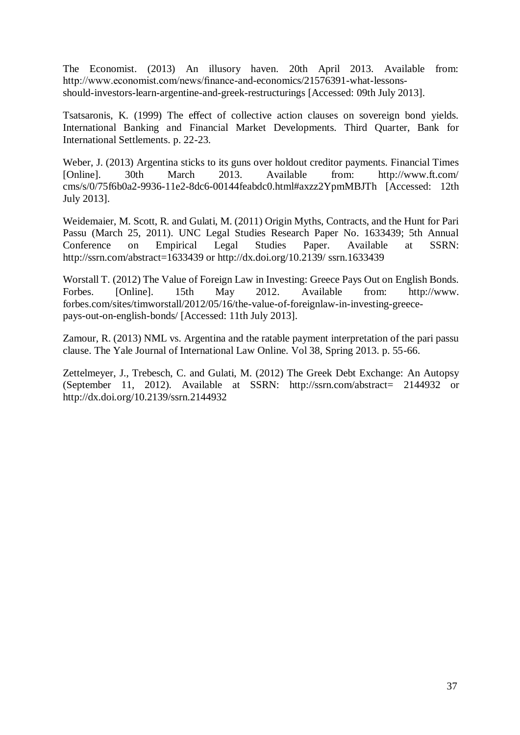The Economist. (2013) An illusory haven. 20th April 2013. Available from: [http://www.economist.com/news/finance-and-economics/21576391-what-lessons](http://www.economist.com/news/finance-and-economics/21576391-what-lessons-should-investors-learn-argentine-and-greek-restructurings)[should-investors-learn-argentine-and-greek-restructurings \[Accessed: 0](http://www.economist.com/news/finance-and-economics/21576391-what-lessons-should-investors-learn-argentine-and-greek-restructurings)9th July 2013].

Tsatsaronis, K. (1999) The effect of collective action clauses on sovereign bond yields. International Banking and Financial Market Developments. Third Quarter, Bank for International Settlements. p. 22-23.

Weber, J. (2013) Argentina sticks to its guns over holdout creditor payments. F[inancial Times](http://www.ft.com/cms/s/0/75f6b0a2-9936-11e2-8dc6-00144feabdc0.html#axzz2YpmMBJTh)  [\[Online\]. 30th March 2013. Available from: http://www.ft.com/](http://www.ft.com/cms/s/0/75f6b0a2-9936-11e2-8dc6-00144feabdc0.html#axzz2YpmMBJTh)  [cms/s/0/75f6b0a2-9936-11e2-8dc6-00144feabdc0.html#axzz2YpmMBJTh \[Accessed: 1](http://www.ft.com/cms/s/0/75f6b0a2-9936-11e2-8dc6-00144feabdc0.html#axzz2YpmMBJTh)2th July 2013].

Weidemaier, M. Scott, R. and Gulati, M. (2011) Origin Myths, Contracts, and the Hunt for Pari Passu (March 25, 2011). UNC Legal Studies Research Paper No. 1633439; 5th Annual Conference on Empirical Legal Studies Paper. Avai[lable at SSRN:](http://ssrn.com/abstract=1633439)  [http://ssrn.com/abstract=1633439 or http://dx.doi.org/10.2139/ ssrn.1633439](http://ssrn.com/abstract=1633439) 

Worstall T. (2012) The Value of Foreign Law in Investing: Greece Pays Out on [English Bonds.](http://www.forbes.com/sites/timworstall/2012/05/16/the-value-of-foreign%20law-in-investing-greece-pays-out-on-english-bonds/)  [Forbes. \[Online\]. 15th May 2012. Available from: http://www.](http://www.forbes.com/sites/timworstall/2012/05/16/the-value-of-foreign%20law-in-investing-greece-pays-out-on-english-bonds/)  [forbes.com/sites/timworstall/2012/05/16/the-value-of-foreignlaw-in-investing-greece](http://www.forbes.com/sites/timworstall/2012/05/16/the-value-of-foreign%20law-in-investing-greece-pays-out-on-english-bonds/)[pays-out-on-english-bonds/ \[Accessed: 11th July 2013\].](http://www.forbes.com/sites/timworstall/2012/05/16/the-value-of-foreign%20law-in-investing-greece-pays-out-on-english-bonds/) 

Zamour, R. (2013) NML vs. Argentina and the ratable payment interpretation of the pari passu clause. The Yale Journal of International Law Online. Vol 38, Spring 2013. p. 55-66.

Zettelmeyer, J., Trebesch, C. and Gulati, M. (2012) The Greek Debt Exchange: [An Autopsy](http://ssrn.com/abstract=2144932)  [\(September 11, 2012\). Available at SSRN: http://ssrn.com/abstract= 2144932 or](http://ssrn.com/abstract=2144932)  http://dx.doi.org/10.2139/ssrn.2144932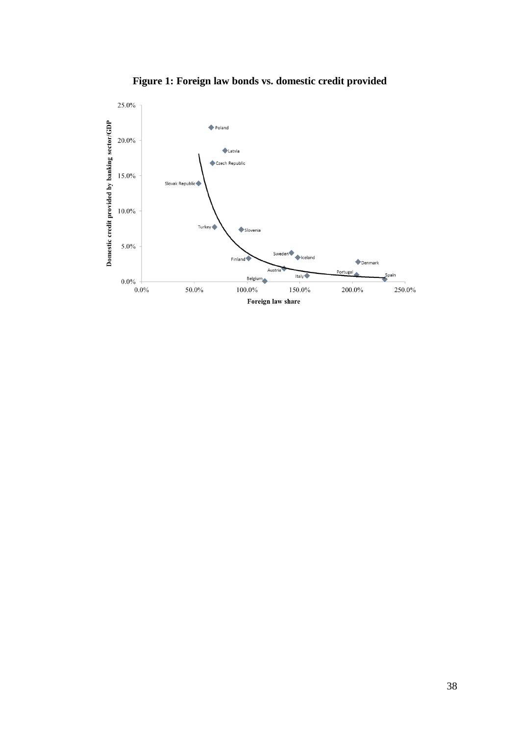

**Figure 1: Foreign law bonds vs. domestic credit provided**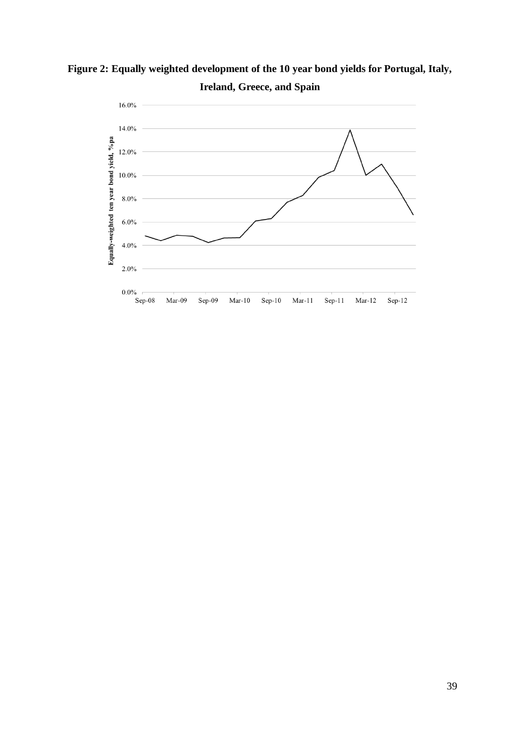

**Figure 2: Equally weighted development of the 10 year bond yields for Portugal, Italy, Ireland, Greece, and Spain**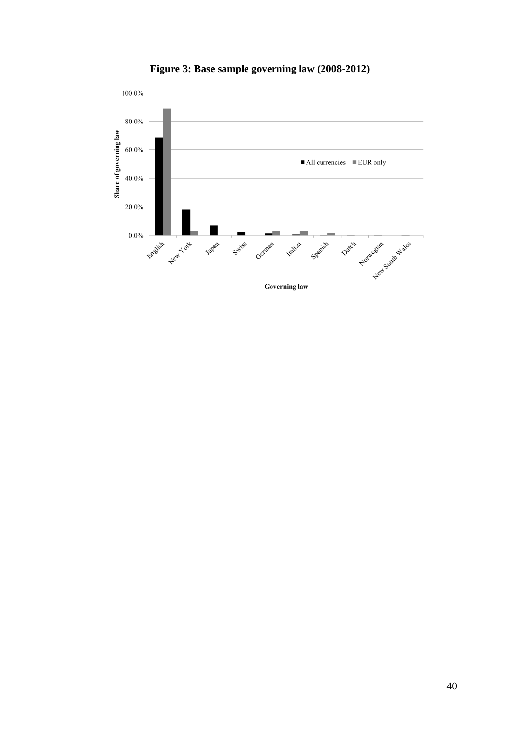

**Figure 3: Base sample governing law (2008-2012)**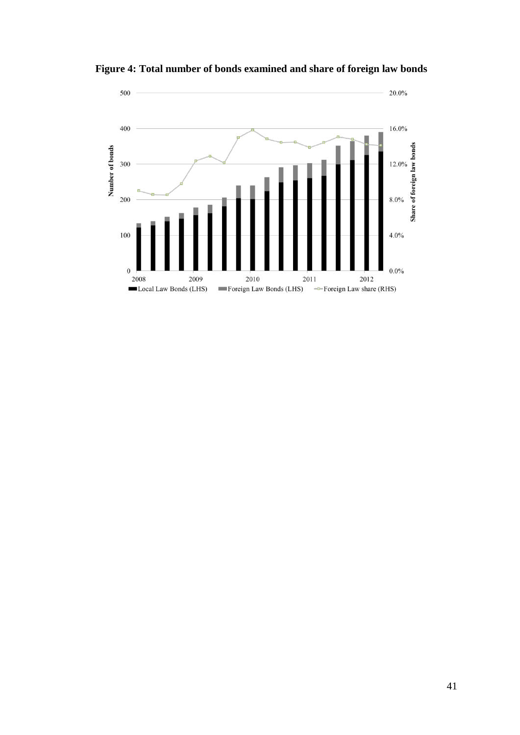

**Figure 4: Total number of bonds examined and share of foreign law bonds**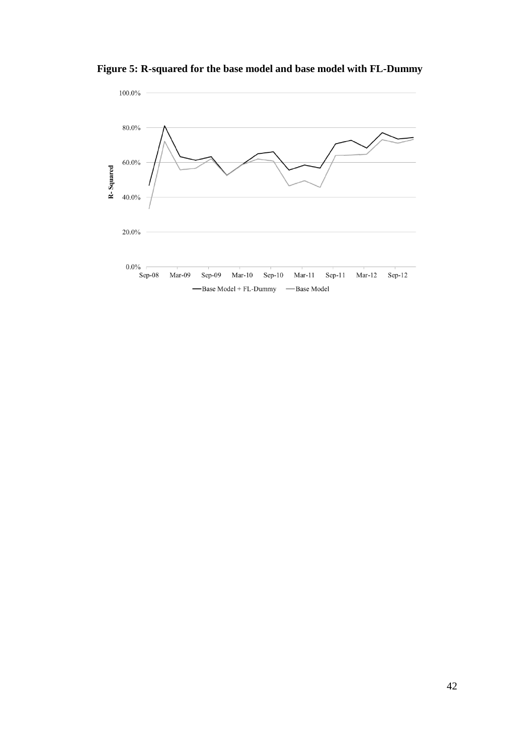

**Figure 5: R-squared for the base model and base model with FL-Dummy**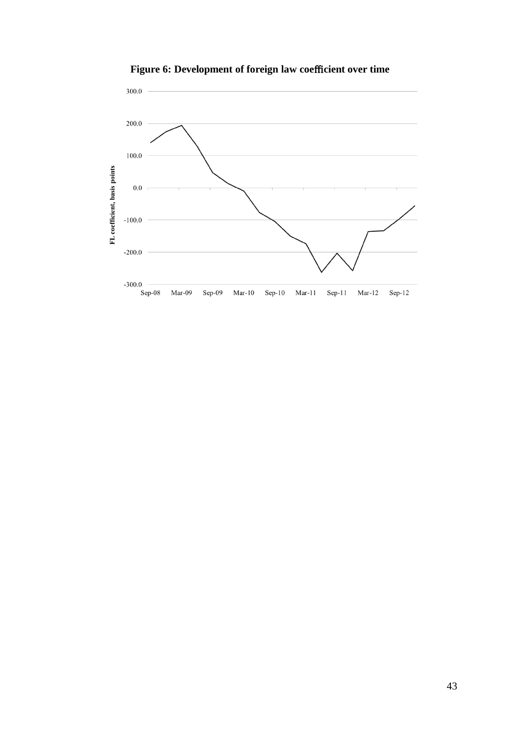

Figure 6: Development of foreign law coefficient over time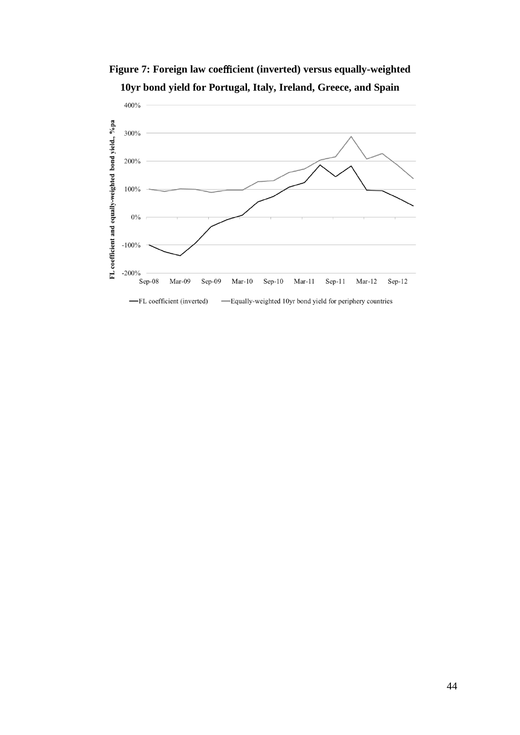

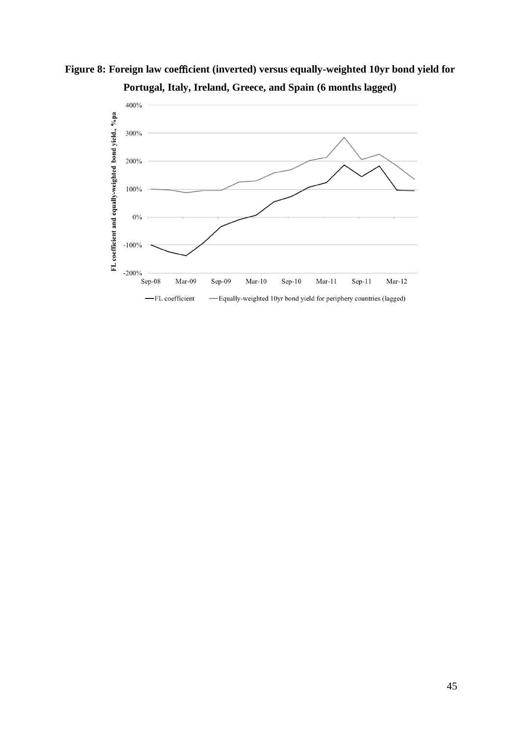

-FL coefficient

-Equally-weighted 10yr bond yield for periphery countries (lagged)

Figure 8: Foreign law coefficient (inverted) versus equally-weighted 10yr bond yield for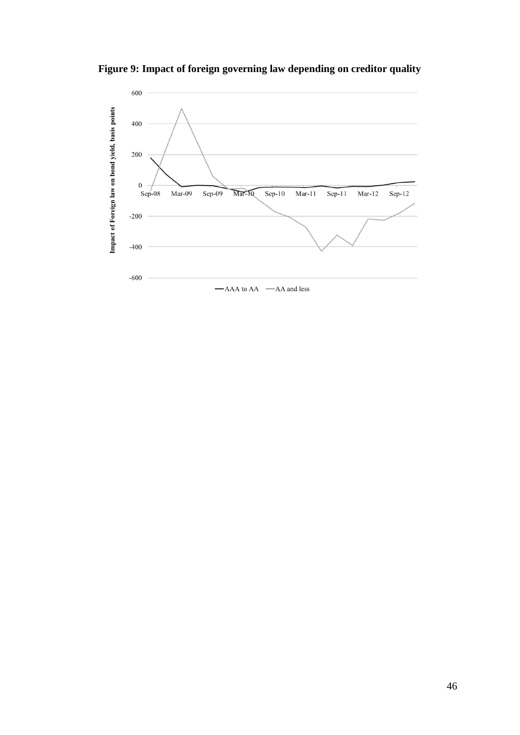**Figure 9: Impact of foreign governing law depending on creditor quality**

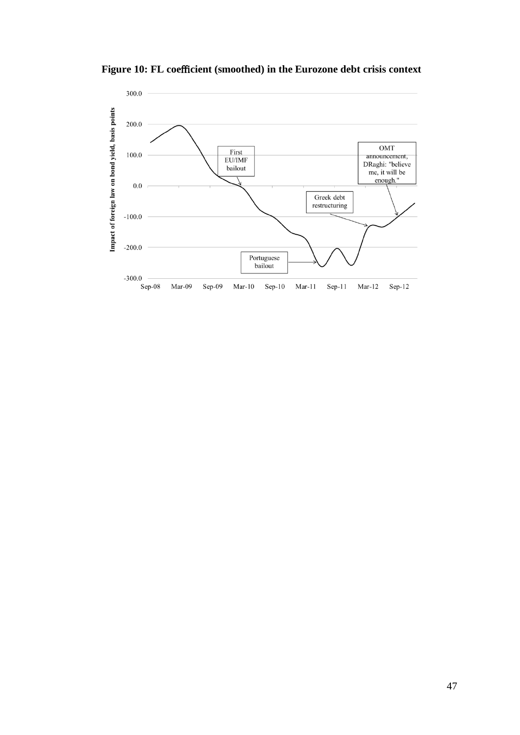Figure 10: FL coefficient (smoothed) in the Eurozone debt crisis context

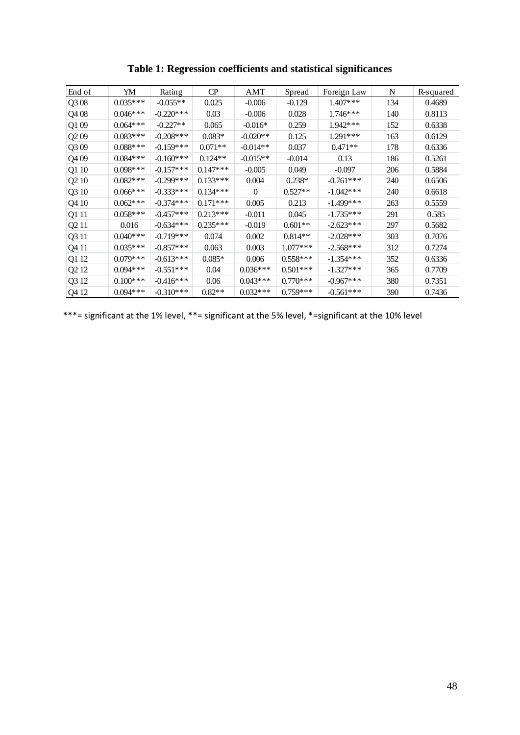| End of                        | YM         | Rating       | CP         | AMT        | Spread     | Foreign Law  | N   | R-squared |
|-------------------------------|------------|--------------|------------|------------|------------|--------------|-----|-----------|
| Q308                          | $0.035***$ | $-0.055**$   | 0.025      | $-0.006$   | $-0.129$   | $1.407***$   | 134 | 0.4689    |
| Q408                          | $0.046***$ | $-0.220$ *** | 0.03       | $-0.006$   | 0.028      | $1.746***$   | 140 | 0.8113    |
| Q109                          | $0.064***$ | $-0.227**$   | 0.065      | $-0.016*$  | 0.259      | 1.942***     | 152 | 0.6338    |
| Q209                          | $0.083***$ | $-0.208$ *** | $0.083*$   | $-0.020**$ | 0.125      | $1.291***$   | 163 | 0.6129    |
| Q309                          | $0.088***$ | $-0.159***$  | $0.071**$  | $-0.014**$ | 0.037      | $0.471**$    | 178 | 0.6336    |
| Q409                          | $0.084***$ | $-0.160***$  | $0.124**$  | $-0.015**$ | $-0.014$   | 0.13         | 186 | 0.5261    |
| Q1 10                         | $0.098***$ | $-0.157***$  | $0.147***$ | $-0.005$   | 0.049      | $-0.097$     | 206 | 0.5884    |
| Q <sub>2</sub> 10             | $0.082***$ | $-0.299***$  | $0.133***$ | 0.004      | $0.238*$   | $-0.761***$  | 240 | 0.6506    |
| Q3 10                         | $0.066***$ | $-0.333***$  | $0.134***$ | $\Omega$   | $0.527**$  | $-1.042***$  | 240 | 0.6618    |
| Q4 10                         | $0.062***$ | $-0.374***$  | $0.171***$ | 0.005      | 0.213      | $-1.499***$  | 263 | 0.5559    |
| Q1 11                         | $0.058***$ | $-0.457***$  | $0.213***$ | $-0.011$   | 0.045      | $-1.735***$  | 291 | 0.585     |
| Q <sub>2</sub> 11             | 0.016      | $-0.634***$  | $0.235***$ | $-0.019$   | $0.601**$  | $-2.623***$  | 297 | 0.5682    |
| Q3 11                         | $0.040***$ | $-0.719***$  | 0.074      | 0.002      | $0.814**$  | $-2.028$ *** | 303 | 0.7076    |
| Q4 11                         | $0.035***$ | $-0.857***$  | 0.063      | 0.003      | $1.077***$ | $-2.568***$  | 312 | 0.7274    |
| Q1 12                         | $0.079***$ | $-0.613***$  | $0.085*$   | 0.006      | $0.558***$ | $-1.354***$  | 352 | 0.6336    |
| Q <sub>2</sub> 1 <sub>2</sub> | $0.094***$ | $-0.551***$  | 0.04       | $0.036***$ | $0.501***$ | $-1.327***$  | 365 | 0.7709    |
| Q3 12                         | $0.100***$ | $-0.416***$  | 0.06       | $0.043***$ | $0.770***$ | $-0.967***$  | 380 | 0.7351    |
| Q4 12                         | $0.094***$ | $-0.310***$  | $0.82**$   | $0.032***$ | $0.759***$ | $-0.561***$  | 390 | 0.7436    |

**Table 1: Regression coefficients and statistical significances**

\*\*\*= significant at the 1% level, \*\*= significant at the 5% level, \*=significant at the 10% level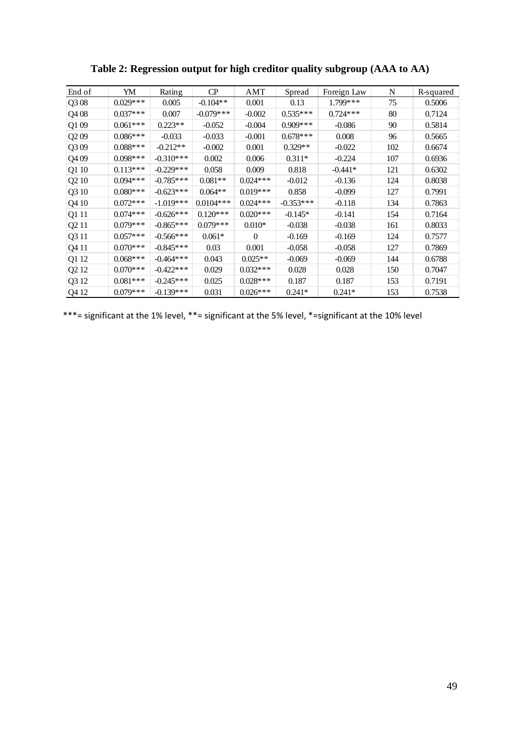| End of                        | YM         | Rating       | CP          | AMT        | Spread      | Foreign Law | N   | R-squared |
|-------------------------------|------------|--------------|-------------|------------|-------------|-------------|-----|-----------|
| Q308                          | $0.029***$ | 0.005        | $-0.104**$  | 0.001      | 0.13        | 1.799***    | 75  | 0.5006    |
| Q408                          | $0.037***$ | 0.007        | $-0.079***$ | $-0.002$   | $0.535***$  | $0.724***$  | 80  | 0.7124    |
| Q109                          | $0.061***$ | $0.223**$    | $-0.052$    | $-0.004$   | $0.909***$  | $-0.086$    | 90  | 0.5814    |
| Q <sub>2</sub> 09             | $0.086***$ | $-0.033$     | $-0.033$    | $-0.001$   | $0.678***$  | 0.008       | 96  | 0.5665    |
| Q309                          | $0.088***$ | $-0.212**$   | $-0.002$    | 0.001      | $0.329**$   | $-0.022$    | 102 | 0.6674    |
| Q409                          | $0.098***$ | $-0.310***$  | 0.002       | 0.006      | $0.311*$    | $-0.224$    | 107 | 0.6936    |
| Q1 10                         | $0.113***$ | $-0.229***$  | 0.058       | 0.009      | 0.818       | $-0.441*$   | 121 | 0.6302    |
| Q <sub>2</sub> 10             | $0.094***$ | $-0.785***$  | $0.081**$   | $0.024***$ | $-0.012$    | $-0.136$    | 124 | 0.8038    |
| Q3 10                         | $0.080***$ | $-0.623***$  | $0.064**$   | $0.019***$ | 0.858       | $-0.099$    | 127 | 0.7991    |
| Q4 10                         | $0.072***$ | $-1.019***$  | $0.0104***$ | $0.024***$ | $-0.353***$ | $-0.118$    | 134 | 0.7863    |
| Q1 11                         | $0.074***$ | $-0.626***$  | $0.120***$  | $0.020***$ | $-0.145*$   | $-0.141$    | 154 | 0.7164    |
| Q <sub>2</sub> 11             | $0.079***$ | $-0.865***$  | $0.079***$  | $0.010*$   | $-0.038$    | $-0.038$    | 161 | 0.8033    |
| Q3 11                         | $0.057***$ | $-0.566$ *** | $0.061*$    | $\Omega$   | $-0.169$    | $-0.169$    | 124 | 0.7577    |
| Q4 11                         | $0.070***$ | $-0.845***$  | 0.03        | 0.001      | $-0.058$    | $-0.058$    | 127 | 0.7869    |
| Q1 12                         | $0.068***$ | $-0.464***$  | 0.043       | $0.025**$  | $-0.069$    | $-0.069$    | 144 | 0.6788    |
| Q <sub>2</sub> 1 <sub>2</sub> | $0.070***$ | $-0.422***$  | 0.029       | $0.032***$ | 0.028       | 0.028       | 150 | 0.7047    |
| Q3 12                         | $0.081***$ | $-0.245***$  | 0.025       | $0.028***$ | 0.187       | 0.187       | 153 | 0.7191    |
| Q4 12                         | $0.079***$ | $-0.139***$  | 0.031       | $0.026***$ | $0.241*$    | $0.241*$    | 153 | 0.7538    |

**Table 2: Regression output for high creditor quality subgroup (AAA to AA)**

\*\*\*= significant at the 1% level, \*\*= significant at the 5% level, \*=significant at the 10% level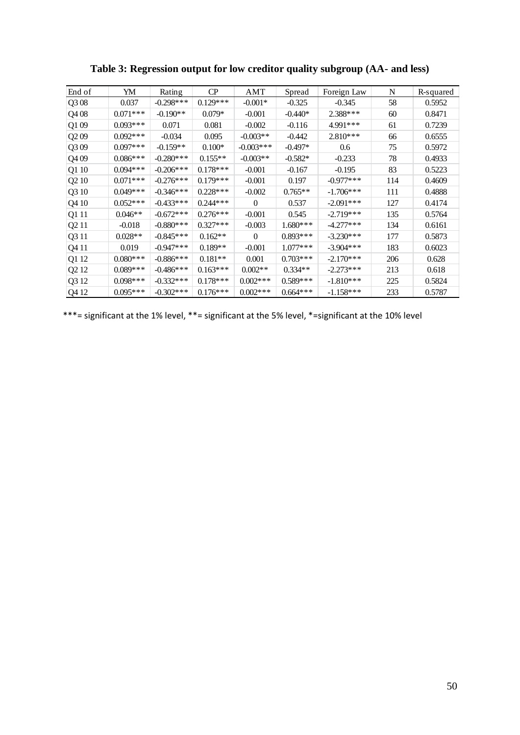| End of                        | YM         | Rating      | CP         | AMT         | Spread     | Foreign Law | N   | R-squared |
|-------------------------------|------------|-------------|------------|-------------|------------|-------------|-----|-----------|
| Q308                          | 0.037      | $-0.298***$ | $0.129***$ | $-0.001*$   | $-0.325$   | $-0.345$    | 58  | 0.5952    |
| Q408                          | $0.071***$ | $-0.190**$  | $0.079*$   | $-0.001$    | $-0.440*$  | 2.388***    | 60  | 0.8471    |
| Q109                          | $0.093***$ | 0.071       | 0.081      | $-0.002$    | $-0.116$   | 4.991***    | 61  | 0.7239    |
| Q209                          | $0.092***$ | $-0.034$    | 0.095      | $-0.003**$  | $-0.442$   | $2.810***$  | 66  | 0.6555    |
| Q309                          | $0.097***$ | $-0.159**$  | $0.100*$   | $-0.003***$ | $-0.497*$  | 0.6         | 75  | 0.5972    |
| Q409                          | $0.086***$ | $-0.280***$ | $0.155**$  | $-0.003**$  | $-0.582*$  | $-0.233$    | 78  | 0.4933    |
| Q1 10                         | $0.094***$ | $-0.206***$ | $0.178***$ | $-0.001$    | $-0.167$   | $-0.195$    | 83  | 0.5223    |
| Q <sub>2</sub> 10             | $0.071***$ | $-0.276***$ | $0.179***$ | $-0.001$    | 0.197      | $-0.977***$ | 114 | 0.4609    |
| Q3 10                         | $0.049***$ | $-0.346***$ | $0.228***$ | $-0.002$    | $0.765**$  | $-1.706***$ | 111 | 0.4888    |
| Q4 10                         | $0.052***$ | $-0.433***$ | $0.244***$ | $\theta$    | 0.537      | $-2.091***$ | 127 | 0.4174    |
| Q1 11                         | $0.046**$  | $-0.672***$ | $0.276***$ | $-0.001$    | 0.545      | $-2.719***$ | 135 | 0.5764    |
| Q <sub>2</sub> 11             | $-0.018$   | $-0.880***$ | $0.327***$ | $-0.003$    | $1.680***$ | $-4.277***$ | 134 | 0.6161    |
| Q3 11                         | $0.028**$  | $-0.845***$ | $0.162**$  | $\Omega$    | $0.893***$ | $-3.230***$ | 177 | 0.5873    |
| Q4 11                         | 0.019      | $-0.947***$ | $0.189**$  | $-0.001$    | $1.077***$ | $-3.904***$ | 183 | 0.6023    |
| Q1 12                         | $0.080***$ | $-0.886***$ | $0.181**$  | 0.001       | $0.703***$ | $-2.170***$ | 206 | 0.628     |
| Q <sub>2</sub> 1 <sub>2</sub> | $0.089***$ | $-0.486***$ | $0.163***$ | $0.002**$   | $0.334**$  | $-2.273***$ | 213 | 0.618     |
| Q3 12                         | $0.098***$ | $-0.332***$ | $0.178***$ | $0.002***$  | $0.589***$ | $-1.810***$ | 225 | 0.5824    |
| Q4 12                         | $0.095***$ | $-0.302***$ | $0.176***$ | $0.002***$  | $0.664***$ | $-1.158***$ | 233 | 0.5787    |

**Table 3: Regression output for low creditor quality subgroup (AA- and less)**

\*\*\*= significant at the 1% level, \*\*= significant at the 5% level, \*=significant at the 10% level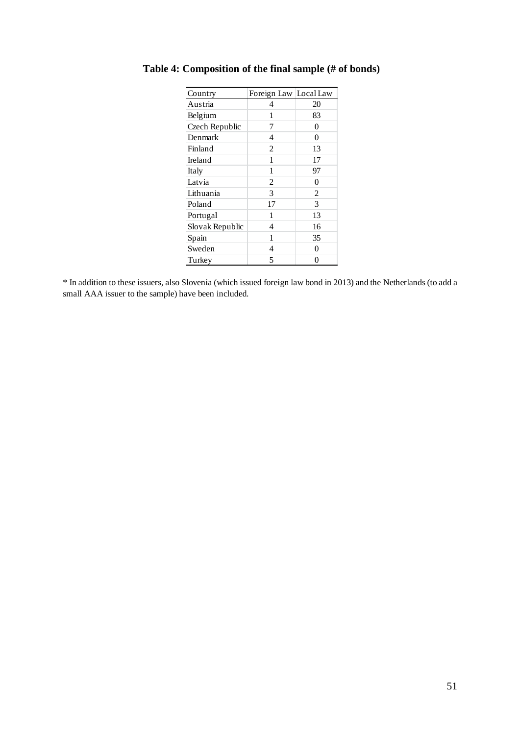| Country         | Foreign Law Local Law |                |
|-----------------|-----------------------|----------------|
| Austria         | 4                     | 20             |
| Belgium         | 1                     | 83             |
| Czech Republic  | 7                     | 0              |
| Denmark         | 4                     | 0              |
| Finland         | $\overline{c}$        | 13             |
| Ireland         | 1                     | 17             |
| Italy           | 1                     | 97             |
| Latvia          | 2                     | 0              |
| Lithuania       | 3                     | $\overline{c}$ |
| Poland          | 17                    | 3              |
| Portugal        | 1                     | 13             |
| Slovak Republic | 4                     | 16             |
| Spain           | 1                     | 35             |
| Sweden          | 4                     | 0              |
| Turkey          | 5                     | 0              |

# **Table 4: Composition of the final sample (# of bonds)**

\* In addition to these issuers, also Slovenia (which issued foreign law bond in 2013) and the Netherlands (to add a small AAA issuer to the sample) have been included.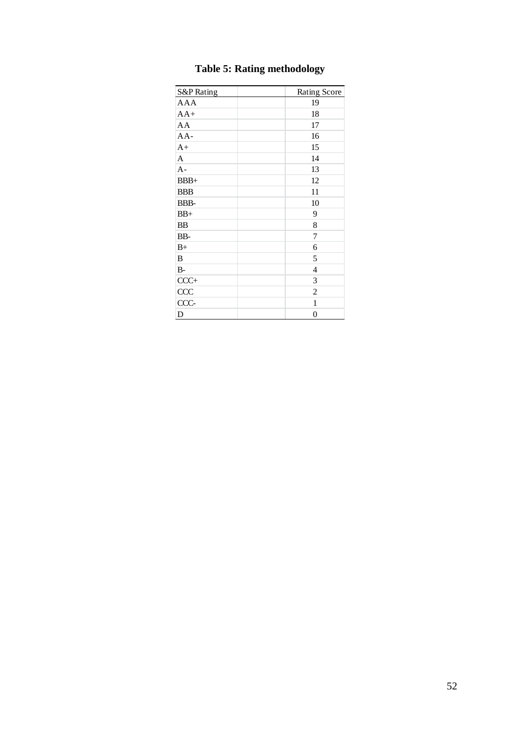| <b>S&amp;P</b> Rating | Rating Score   |
|-----------------------|----------------|
| <b>AAA</b>            | 19             |
| $AA+$                 | 18             |
| AA                    | 17             |
| $AA-$                 | 16             |
| $A+$                  | 15             |
| A                     | 14             |
| $A -$                 | 13             |
| $BBB+$                | 12             |
| <b>BBB</b>            | 11             |
| BBB-                  | 10             |
| $BB+$                 | 9              |
| <b>BB</b>             | 8              |
| BB-                   | 7              |
| $B+$                  | 6              |
| B                     | 5              |
| <b>B-</b>             | 4              |
| $CCC+$                | 3              |
| CCC                   | $\overline{c}$ |
| CCC-                  | 1              |
| D                     | $\overline{0}$ |

# **Table 5: Rating methodology**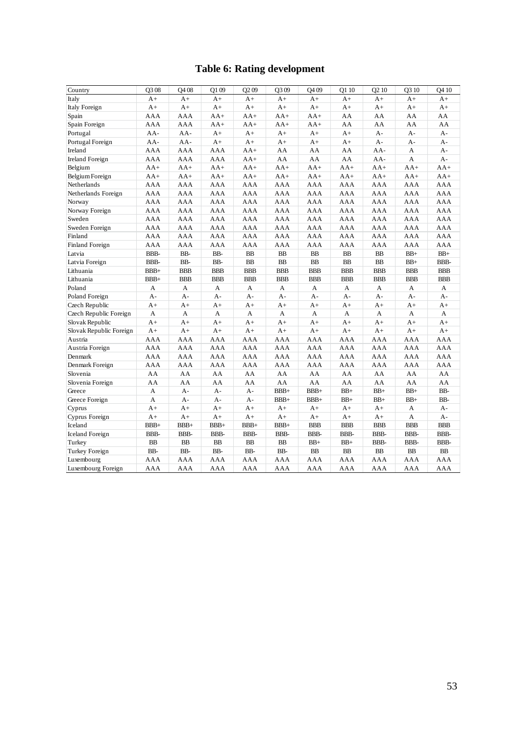|                         |        |            |            |                   | <b>Table 6: Rating development</b> |                   |            |                   |            |                   |
|-------------------------|--------|------------|------------|-------------------|------------------------------------|-------------------|------------|-------------------|------------|-------------------|
| Country                 | O308   | Q408       | O1 09      | O <sub>2</sub> 09 | O <sub>3</sub> 09                  | O <sub>4</sub> 09 | O1 10      | O <sub>2</sub> 10 | O3 10      | O <sub>4</sub> 10 |
| Italy                   | $A+$   | $A+$       | $A+$       | $A+$              | $A+$                               | $A+$              | $A+$       | $A+$              | $A+$       | $A+$              |
| <b>Italy Foreign</b>    | $A+$   | $A+$       | $A+$       | $A+$              | $A+$                               | $A+$              | $A+$       | $A+$              | $A+$       | $A+$              |
| Spain                   | AAA    | AAA        | $AA+$      | $AA+$             | $AA+$                              | $AA+$             | AA         | AA                | AA         | AA                |
| Spain Foreign           | AAA    | AAA        | $AA+$      | $AA+$             | $AA+$                              | $AA+$             | AA         | AA                | AA         | AA                |
| Portugal                | AA-    | AA-        | $A+$       | $A+$              | $A+$                               | $A+$              | $A+$       | $A -$             | A-         | $A -$             |
| Portugal Foreign        | $AA-$  | AA-        | $A+$       | $A+$              | $A+$                               | $A+$              | $A+$       | $A -$             | $A -$      | $A -$             |
| Ireland                 | AAA    | AAA        | AAA        | $AA+$             | AA                                 | AA                | AA         | $AA-$             | A          | $A -$             |
| <b>Ireland Foreign</b>  | AAA    | AAA        | AAA        | $AA+$             | AA                                 | AA                | AA         | AA-               | A          | $A -$             |
| Belgium                 | $AA+$  | $AA+$      | $AA+$      | $AA+$             | $AA+$                              | $AA+$             | $AA+$      | $AA+$             | $AA+$      | $AA+$             |
| Belgium Foreign         | $AA+$  | $AA+$      | $AA+$      | $AA+$             | $AA+$                              | $AA+$             | $AA+$      | $AA+$             | $AA+$      | $AA+$             |
| Netherlands             | AAA    | AAA        | AAA        | AAA               | AAA                                | AAA               | AAA        | AAA               | AAA        | AAA               |
| Netherlands Foreign     | AAA    | AAA        | AAA        | AAA               | AAA                                | AAA               | AAA        | AAA               | AAA        | AAA               |
| Norway                  | AAA    | AAA        | AAA        | AAA               | AAA                                | AAA               | AAA        | AAA               | AAA        | AAA               |
| Norway Foreign          | AAA    | AAA        | AAA        | AAA               | AAA                                | AAA               | AAA        | AAA               | AAA        | AAA               |
| Sweden                  | AAA    | AAA        | AAA        | AAA               | AAA                                | AAA               | AAA        | AAA               | AAA        | AAA               |
| Sweden Foreign          | AAA    | AAA        | AAA        | AAA               | AAA                                | AAA               | AAA        | AAA               | AAA        | AAA               |
| Finland                 | AAA    | AAA        | AAA        | AAA               | AAA                                | AAA               | AAA        | AAA               | AAA        | AAA               |
| Finland Foreign         | AAA    | AAA        | AAA        | AAA               | AAA                                | AAA               | AAA        | AAA               | AAA        | AAA               |
| Latvia                  | BBB-   | BB-        | BB-        | BB                | BB                                 | BB                | BB         | B <sub>B</sub>    | $BB+$      | $BB+$             |
| Latvia Foreign          | BBB-   | BB-        | BB-        | BB                | <b>BB</b>                          | BB                | BB         | <b>BB</b>         | $BB+$      | BBB-              |
| Lithuania               | $BBB+$ | <b>BBB</b> | <b>BBB</b> | <b>BBB</b>        | <b>BBB</b>                         | <b>BBB</b>        | <b>BBB</b> | <b>BBB</b>        | <b>BBB</b> | <b>BBB</b>        |
| Lithuania               | $BBB+$ | <b>BBB</b> | <b>BBB</b> | <b>BBB</b>        | <b>BBB</b>                         | <b>BBB</b>        | <b>BBB</b> | <b>BBB</b>        | <b>BBB</b> | <b>BBB</b>        |
| Poland                  | A      | A          | A          | А                 | А                                  | А                 | A          | A                 | A          | A                 |
| Poland Foreign          | A-     | $A -$      | $A-$       | $A -$             | A-                                 | $A -$             | $A -$      | $A -$             | $A -$      | $A -$             |
| Czech Republic          | $A+$   | $A+$       | $A+$       | $A+$              | $A+$                               | $A+$              | $A+$       | $A+$              | $A+$       | $A+$              |
| Czech Republic Foreign  | A      | A          | A          | A                 | A                                  | A                 | A          | A                 | A          | A                 |
| Slovak Republic         | $A+$   | $A+$       | $A+$       | $A+$              | $A+$                               | $A+$              | $A+$       | $A+$              | $A+$       | $A+$              |
| Slovak Republic Foreign | $A+$   | $A+$       | $A+$       | $A+$              | $A+$                               | $A+$              | $A+$       | $A+$              | $A+$       | $A+$              |
| Austria                 | AAA    | AAA        | AAA        | AAA               | AAA                                | AAA               | AAA        | AAA               | AAA        | AAA               |
| Austria Foreign         | AAA    | AAA        | AAA        | AAA               | AAA                                | AAA               | AAA        | AAA               | AAA        | AAA               |
| Denmark                 | AAA    | AAA        | AAA        | AAA               | AAA                                | AAA               | AAA        | AAA               | AAA        | AAA               |
| Denmark Foreign         | AAA    | AAA        | AAA        | AAA               | AAA                                | AAA               | AAA        | AAA               | AAA        | AAA               |
| Slovenia                | AA     | AA         | AA         | AA                | AA                                 | AA                | AA         | AA                | AA         | AA                |
| Slovenia Foreign        | AA     | AA         | AA         | AA                | AA                                 | AA                | AA         | AA                | AA         | AA                |
| Greece                  | A      | $A -$      | $A -$      | $A -$             | $BBB+$                             | $BBB+$            | $BB+$      | $BB+$             | $BB+$      | BB-               |
| Greece Foreign          | A      | $A -$      | A-         | $A -$             | $BBB+$                             | $BBB+$            | $BB+$      | $BB+$             | $BB+$      | BB-               |
| Cyprus                  | $A+$   | $A+$       | $A+$       | $A+$              | $A+$                               | $A+$              | $A+$       | $A+$              | A          | $A -$             |
| Cyprus Foreign          | $A+$   | $A+$       | $A+$       | $A+$              | $A+$                               | $A+$              | $A+$       | $A+$              | A          | $A -$             |
| Iceland                 | BBB+   | BBB+       | $BBB+$     | $BBB+$            | $BBB+$                             | <b>BBB</b>        | <b>BBB</b> | <b>BBB</b>        | <b>BBB</b> | <b>BBB</b>        |
| <b>Iceland Foreign</b>  | BBB-   | BBB-       | BBB-       | BBB-              | BBB-                               | BBB-              | BBB-       | BBB-              | BBB-       | BBB-              |
| Turkey                  | BB     | BB         | BB         | BB                | BB                                 | $BB+$             | $BB+$      | BBB-              | BBB-       | BBB-              |
| Turkey Foreign          | BB-    | BB-        | BB-        | BB-               | BB-                                | <b>BB</b>         | <b>BB</b>  | <b>BB</b>         | <b>BB</b>  | <b>BB</b>         |
| Luxembourg              | AAA    | AAA        | AAA        | AAA               | AAA                                | AAA               | AAA        | AAA               | AAA        | AAA               |
| Luxembourg Foreign      | AAA    | AAA        | AAA        | AAA               | AAA                                | AAA               | AAA        | AAA               | AAA        | AAA               |